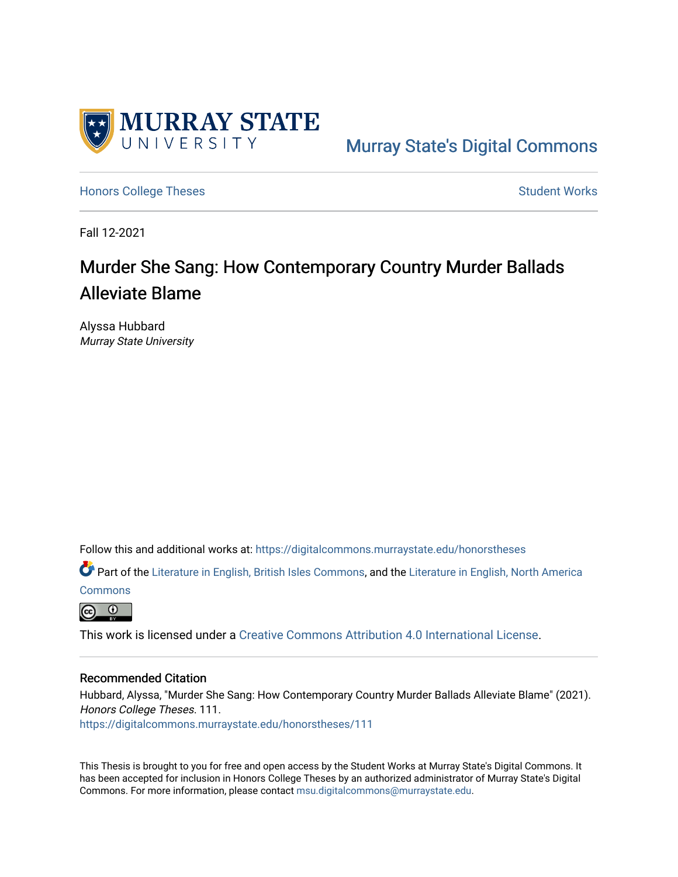

[Murray State's Digital Commons](https://digitalcommons.murraystate.edu/) 

[Honors College Theses](https://digitalcommons.murraystate.edu/honorstheses) [Student Works](https://digitalcommons.murraystate.edu/allstudent) Student Works Student Works Student Works Student Works Student Works Student Works Student Works Student Works Student Works Student Works Student Student Student Student Student Studen

Fall 12-2021

# Murder She Sang: How Contemporary Country Murder Ballads Alleviate Blame

Alyssa Hubbard Murray State University

Follow this and additional works at: [https://digitalcommons.murraystate.edu/honorstheses](https://digitalcommons.murraystate.edu/honorstheses?utm_source=digitalcommons.murraystate.edu%2Fhonorstheses%2F111&utm_medium=PDF&utm_campaign=PDFCoverPages)

Part of the [Literature in English, British Isles Commons](http://network.bepress.com/hgg/discipline/456?utm_source=digitalcommons.murraystate.edu%2Fhonorstheses%2F111&utm_medium=PDF&utm_campaign=PDFCoverPages), and the [Literature in English, North America](http://network.bepress.com/hgg/discipline/458?utm_source=digitalcommons.murraystate.edu%2Fhonorstheses%2F111&utm_medium=PDF&utm_campaign=PDFCoverPages) [Commons](http://network.bepress.com/hgg/discipline/458?utm_source=digitalcommons.murraystate.edu%2Fhonorstheses%2F111&utm_medium=PDF&utm_campaign=PDFCoverPages)



This work is licensed under a [Creative Commons Attribution 4.0 International License](https://creativecommons.org/licenses/by/4.0/).

#### Recommended Citation

Hubbard, Alyssa, "Murder She Sang: How Contemporary Country Murder Ballads Alleviate Blame" (2021). Honors College Theses. 111. [https://digitalcommons.murraystate.edu/honorstheses/111](https://digitalcommons.murraystate.edu/honorstheses/111?utm_source=digitalcommons.murraystate.edu%2Fhonorstheses%2F111&utm_medium=PDF&utm_campaign=PDFCoverPages)

This Thesis is brought to you for free and open access by the Student Works at Murray State's Digital Commons. It has been accepted for inclusion in Honors College Theses by an authorized administrator of Murray State's Digital Commons. For more information, please contact [msu.digitalcommons@murraystate.edu.](mailto:msu.digitalcommons@murraystate.edu)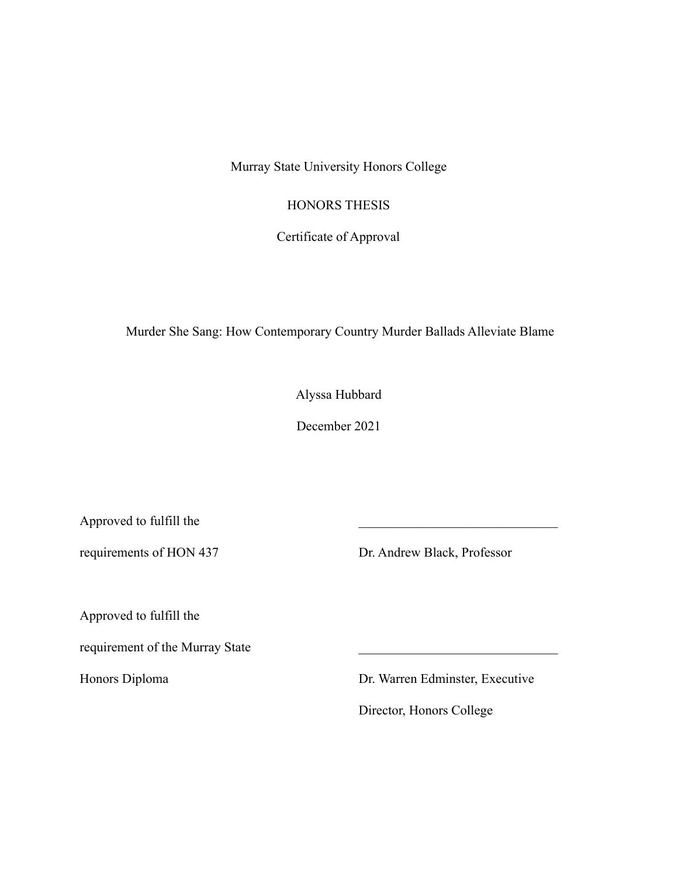Murray State University Honors College

# HONORS THESIS

Certificate of Approval

Murder She Sang: How Contemporary Country Murder Ballads Alleviate Blame

Alyssa Hubbard

December 2021

Approved to fulfill the

requirements of HON 437 Dr. Andrew Black, Professor

Approved to fulfill the

requirement of the Murray State

Honors Diploma Dr. Warren Edminster, Executive

Director, Honors College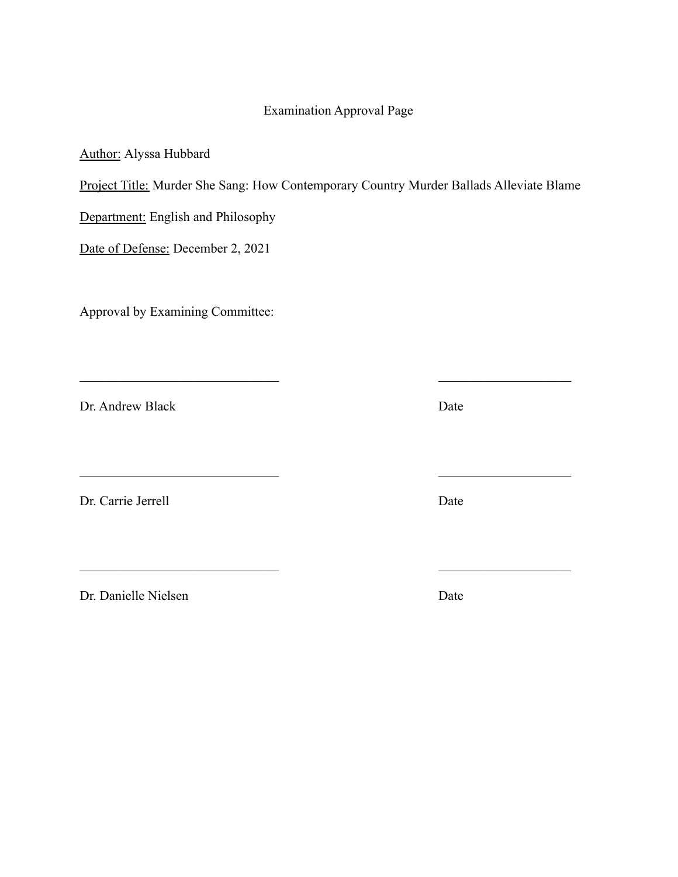# Examination Approval Page

Author: Alyssa Hubbard

Project Title: Murder She Sang: How Contemporary Country Murder Ballads Alleviate Blame

\_\_\_\_\_\_\_\_\_\_\_\_\_\_\_\_\_\_\_\_\_\_\_\_\_\_\_\_\_\_ \_\_\_\_\_\_\_\_\_\_\_\_\_\_\_\_\_\_\_\_

Department: English and Philosophy

Date of Defense: December 2, 2021

Approval by Examining Committee:

\_\_\_\_\_\_\_\_\_\_\_\_\_\_\_\_\_\_\_\_\_\_\_\_\_\_\_\_\_\_ \_\_\_\_\_\_\_\_\_\_\_\_\_\_\_\_\_\_\_\_

 $\mathcal{L}_\text{max}$  , and the set of the set of the set of the set of the set of the set of the set of the set of the set of the set of the set of the set of the set of the set of the set of the set of the set of the set of the

Dr. Andrew Black Date

Dr. Carrie Jerrell Date

Dr. Danielle Nielsen Date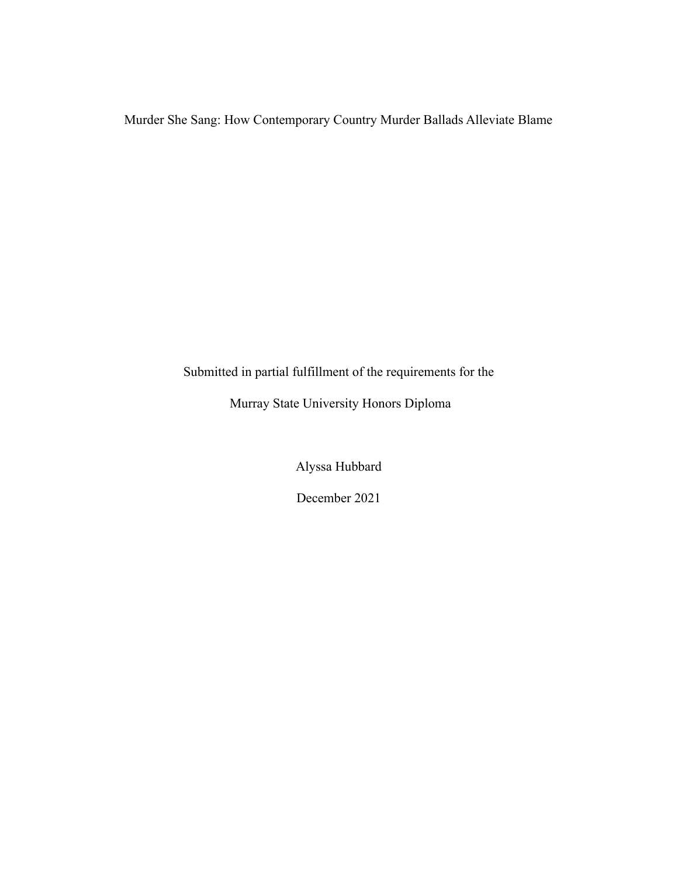Murder She Sang: How Contemporary Country Murder Ballads Alleviate Blame

Submitted in partial fulfillment of the requirements for the

Murray State University Honors Diploma

Alyssa Hubbard

December 2021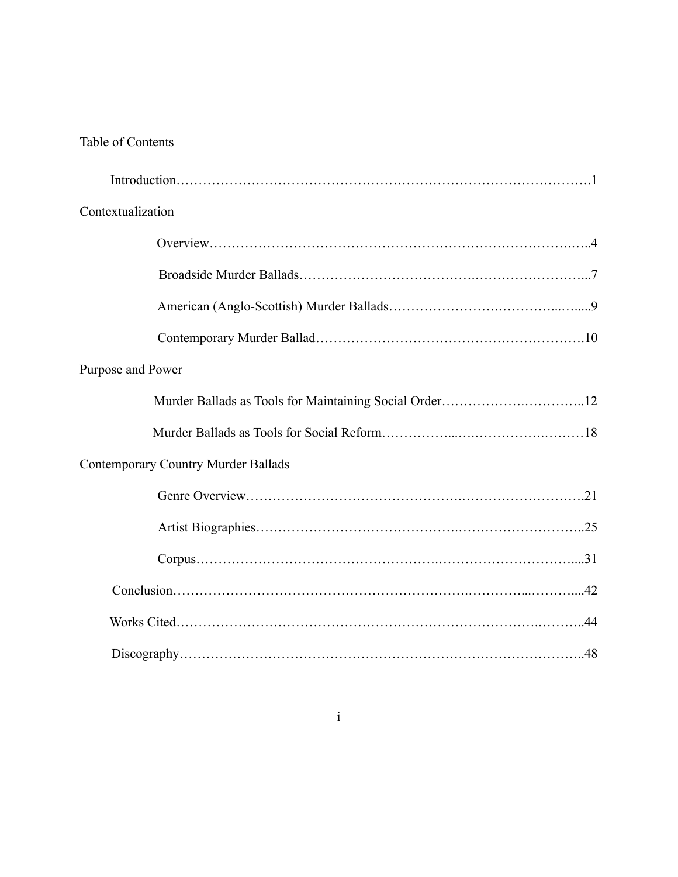# Table of Contents

| Contextualization                          |
|--------------------------------------------|
|                                            |
|                                            |
|                                            |
|                                            |
| Purpose and Power                          |
|                                            |
|                                            |
| <b>Contemporary Country Murder Ballads</b> |
|                                            |
|                                            |
|                                            |
|                                            |
|                                            |
|                                            |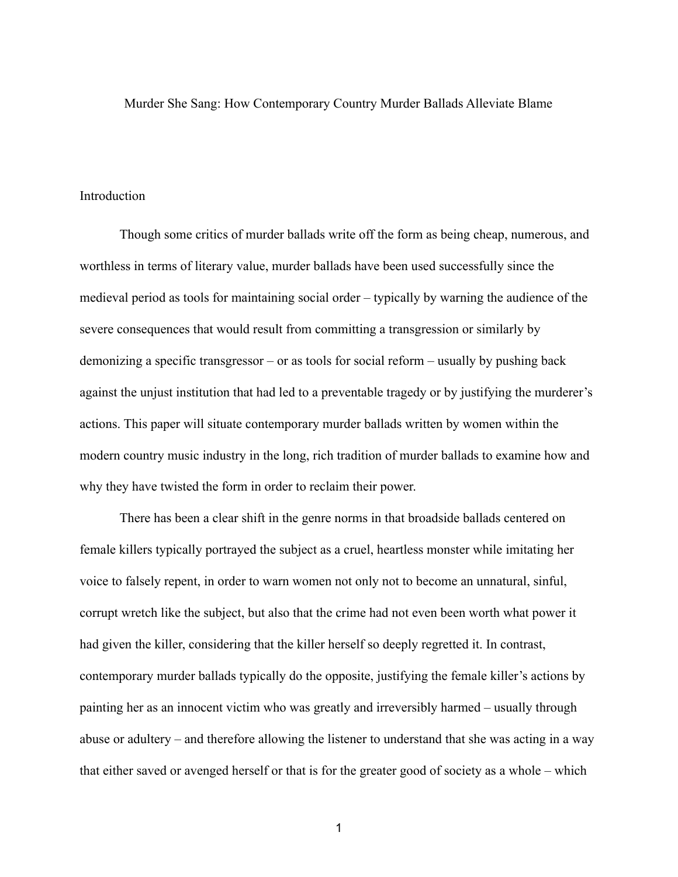Murder She Sang: How Contemporary Country Murder Ballads Alleviate Blame

## Introduction

Though some critics of murder ballads write off the form as being cheap, numerous, and worthless in terms of literary value, murder ballads have been used successfully since the medieval period as tools for maintaining social order – typically by warning the audience of the severe consequences that would result from committing a transgression or similarly by demonizing a specific transgressor – or as tools for social reform – usually by pushing back against the unjust institution that had led to a preventable tragedy or by justifying the murderer's actions. This paper will situate contemporary murder ballads written by women within the modern country music industry in the long, rich tradition of murder ballads to examine how and why they have twisted the form in order to reclaim their power.

There has been a clear shift in the genre norms in that broadside ballads centered on female killers typically portrayed the subject as a cruel, heartless monster while imitating her voice to falsely repent, in order to warn women not only not to become an unnatural, sinful, corrupt wretch like the subject, but also that the crime had not even been worth what power it had given the killer, considering that the killer herself so deeply regretted it. In contrast, contemporary murder ballads typically do the opposite, justifying the female killer's actions by painting her as an innocent victim who was greatly and irreversibly harmed – usually through abuse or adultery – and therefore allowing the listener to understand that she was acting in a way that either saved or avenged herself or that is for the greater good of society as a whole – which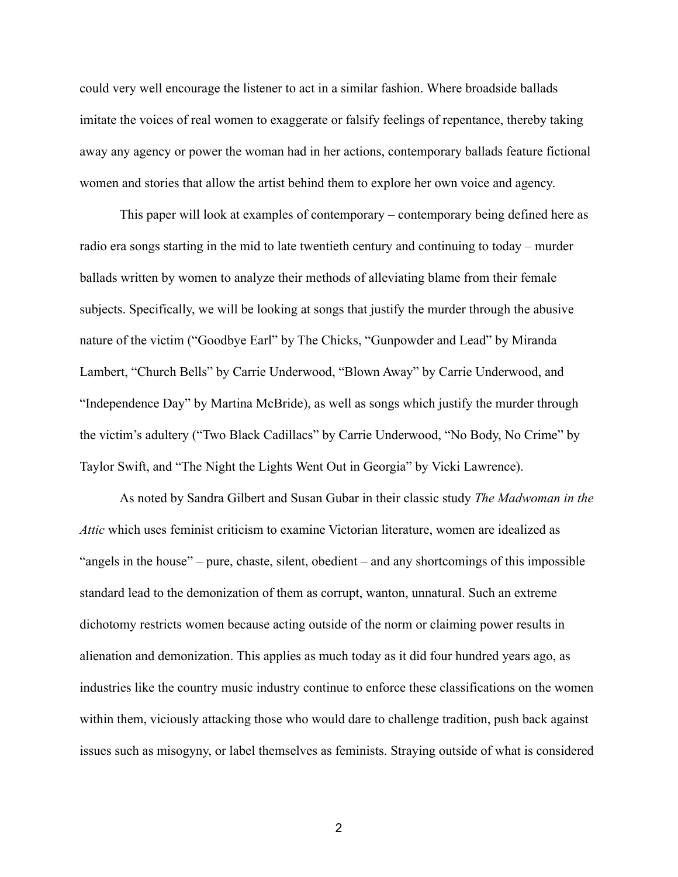could very well encourage the listener to act in a similar fashion. Where broadside ballads imitate the voices of real women to exaggerate or falsify feelings of repentance, thereby taking away any agency or power the woman had in her actions, contemporary ballads feature fictional women and stories that allow the artist behind them to explore her own voice and agency.

This paper will look at examples of contemporary – contemporary being defined here as radio era songs starting in the mid to late twentieth century and continuing to today – murder ballads written by women to analyze their methods of alleviating blame from their female subjects. Specifically, we will be looking at songs that justify the murder through the abusive nature of the victim ("Goodbye Earl" by The Chicks, "Gunpowder and Lead" by Miranda Lambert, "Church Bells" by Carrie Underwood, "Blown Away" by Carrie Underwood, and "Independence Day" by Martina McBride), as well as songs which justify the murder through the victim's adultery ("Two Black Cadillacs" by Carrie Underwood, "No Body, No Crime" by Taylor Swift, and "The Night the Lights Went Out in Georgia" by Vicki Lawrence).

As noted by Sandra Gilbert and Susan Gubar in their classic study *The Madwoman in the Attic* which uses feminist criticism to examine Victorian literature, women are idealized as "angels in the house" – pure, chaste, silent, obedient – and any shortcomings of this impossible standard lead to the demonization of them as corrupt, wanton, unnatural. Such an extreme dichotomy restricts women because acting outside of the norm or claiming power results in alienation and demonization. This applies as much today as it did four hundred years ago, as industries like the country music industry continue to enforce these classifications on the women within them, viciously attacking those who would dare to challenge tradition, push back against issues such as misogyny, or label themselves as feminists. Straying outside of what is considered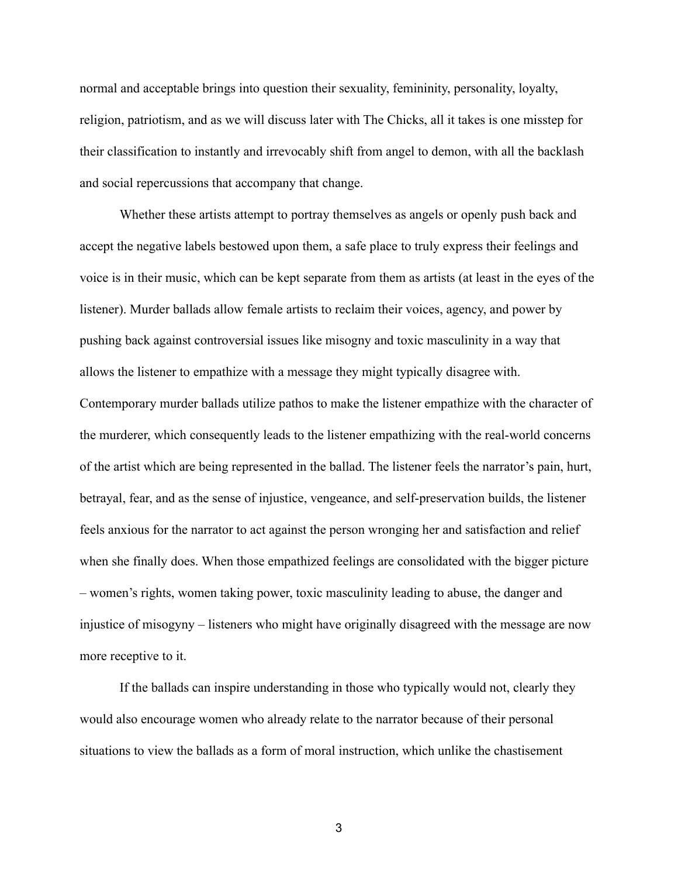normal and acceptable brings into question their sexuality, femininity, personality, loyalty, religion, patriotism, and as we will discuss later with The Chicks, all it takes is one misstep for their classification to instantly and irrevocably shift from angel to demon, with all the backlash and social repercussions that accompany that change.

Whether these artists attempt to portray themselves as angels or openly push back and accept the negative labels bestowed upon them, a safe place to truly express their feelings and voice is in their music, which can be kept separate from them as artists (at least in the eyes of the listener). Murder ballads allow female artists to reclaim their voices, agency, and power by pushing back against controversial issues like misogny and toxic masculinity in a way that allows the listener to empathize with a message they might typically disagree with.

Contemporary murder ballads utilize pathos to make the listener empathize with the character of the murderer, which consequently leads to the listener empathizing with the real-world concerns of the artist which are being represented in the ballad. The listener feels the narrator's pain, hurt, betrayal, fear, and as the sense of injustice, vengeance, and self-preservation builds, the listener feels anxious for the narrator to act against the person wronging her and satisfaction and relief when she finally does. When those empathized feelings are consolidated with the bigger picture – women's rights, women taking power, toxic masculinity leading to abuse, the danger and injustice of misogyny – listeners who might have originally disagreed with the message are now more receptive to it.

If the ballads can inspire understanding in those who typically would not, clearly they would also encourage women who already relate to the narrator because of their personal situations to view the ballads as a form of moral instruction, which unlike the chastisement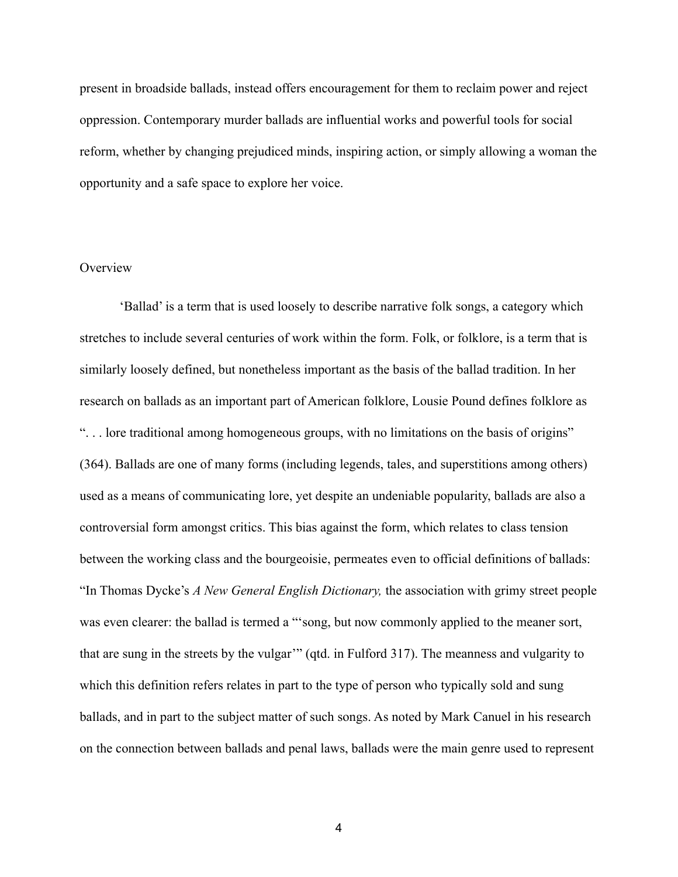present in broadside ballads, instead offers encouragement for them to reclaim power and reject oppression. Contemporary murder ballads are influential works and powerful tools for social reform, whether by changing prejudiced minds, inspiring action, or simply allowing a woman the opportunity and a safe space to explore her voice.

## **Overview**

'Ballad' is a term that is used loosely to describe narrative folk songs, a category which stretches to include several centuries of work within the form. Folk, or folklore, is a term that is similarly loosely defined, but nonetheless important as the basis of the ballad tradition. In her research on ballads as an important part of American folklore, Lousie Pound defines folklore as ". . . lore traditional among homogeneous groups, with no limitations on the basis of origins" (364). Ballads are one of many forms (including legends, tales, and superstitions among others) used as a means of communicating lore, yet despite an undeniable popularity, ballads are also a controversial form amongst critics. This bias against the form, which relates to class tension between the working class and the bourgeoisie, permeates even to official definitions of ballads: "In Thomas Dycke's *A New General English Dictionary,* the association with grimy street people was even clearer: the ballad is termed a "song, but now commonly applied to the meaner sort, that are sung in the streets by the vulgar'" (qtd. in Fulford 317). The meanness and vulgarity to which this definition refers relates in part to the type of person who typically sold and sung ballads, and in part to the subject matter of such songs. As noted by Mark Canuel in his research on the connection between ballads and penal laws, ballads were the main genre used to represent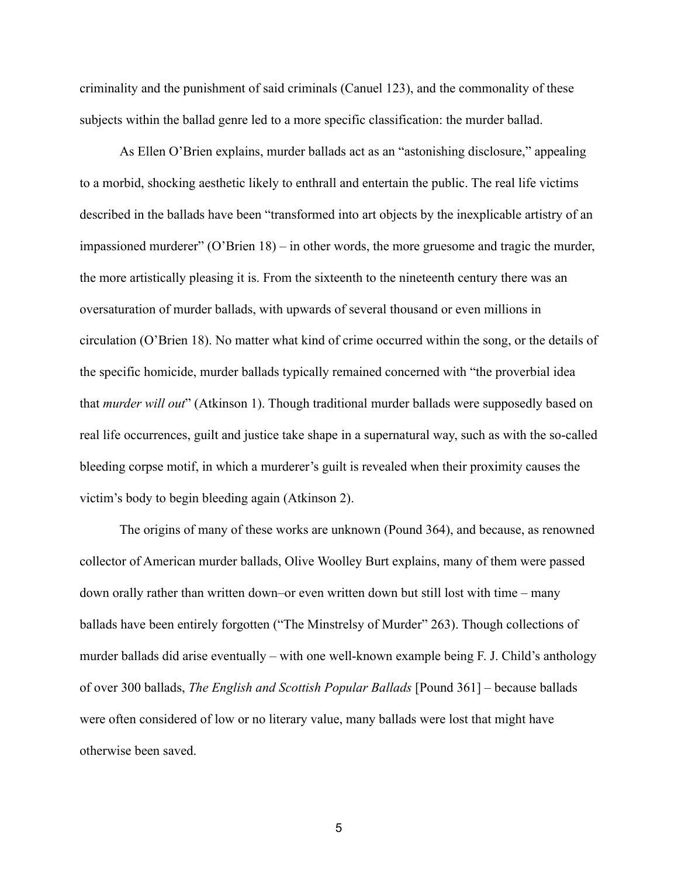criminality and the punishment of said criminals (Canuel 123), and the commonality of these subjects within the ballad genre led to a more specific classification: the murder ballad.

As Ellen O'Brien explains, murder ballads act as an "astonishing disclosure," appealing to a morbid, shocking aesthetic likely to enthrall and entertain the public. The real life victims described in the ballads have been "transformed into art objects by the inexplicable artistry of an impassioned murderer" (O'Brien 18) – in other words, the more gruesome and tragic the murder, the more artistically pleasing it is. From the sixteenth to the nineteenth century there was an oversaturation of murder ballads, with upwards of several thousand or even millions in circulation (O'Brien 18). No matter what kind of crime occurred within the song, or the details of the specific homicide, murder ballads typically remained concerned with "the proverbial idea that *murder will out*" (Atkinson 1). Though traditional murder ballads were supposedly based on real life occurrences, guilt and justice take shape in a supernatural way, such as with the so-called bleeding corpse motif, in which a murderer's guilt is revealed when their proximity causes the victim's body to begin bleeding again (Atkinson 2).

The origins of many of these works are unknown (Pound 364), and because, as renowned collector of American murder ballads, Olive Woolley Burt explains, many of them were passed down orally rather than written down–or even written down but still lost with time – many ballads have been entirely forgotten ("The Minstrelsy of Murder" 263). Though collections of murder ballads did arise eventually – with one well-known example being F. J. Child's anthology of over 300 ballads, *The English and Scottish Popular Ballads* [Pound 361] – because ballads were often considered of low or no literary value, many ballads were lost that might have otherwise been saved.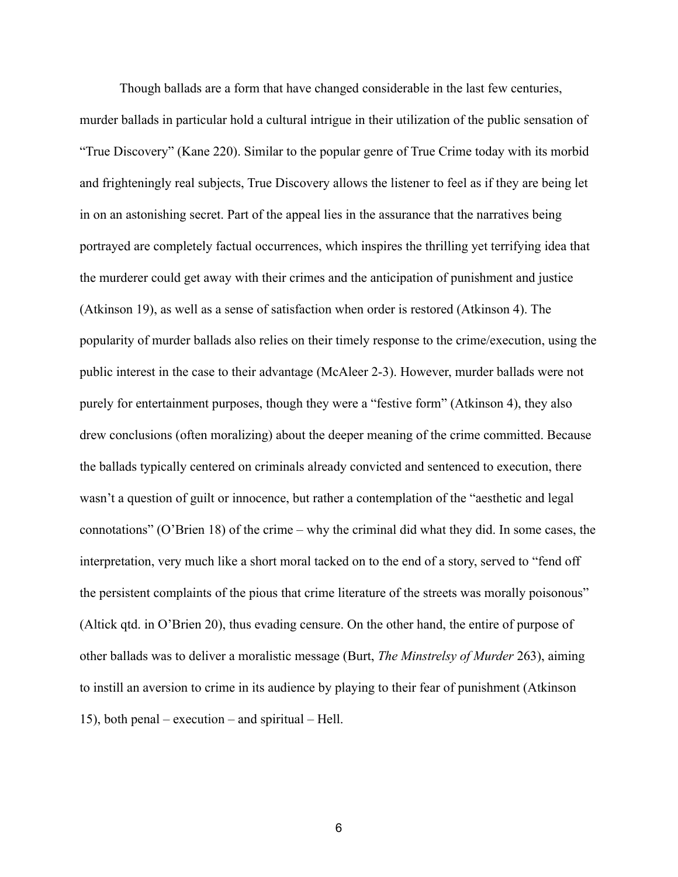Though ballads are a form that have changed considerable in the last few centuries, murder ballads in particular hold a cultural intrigue in their utilization of the public sensation of "True Discovery" (Kane 220). Similar to the popular genre of True Crime today with its morbid and frighteningly real subjects, True Discovery allows the listener to feel as if they are being let in on an astonishing secret. Part of the appeal lies in the assurance that the narratives being portrayed are completely factual occurrences, which inspires the thrilling yet terrifying idea that the murderer could get away with their crimes and the anticipation of punishment and justice (Atkinson 19), as well as a sense of satisfaction when order is restored (Atkinson 4). The popularity of murder ballads also relies on their timely response to the crime/execution, using the public interest in the case to their advantage (McAleer 2-3). However, murder ballads were not purely for entertainment purposes, though they were a "festive form" (Atkinson 4), they also drew conclusions (often moralizing) about the deeper meaning of the crime committed. Because the ballads typically centered on criminals already convicted and sentenced to execution, there wasn't a question of guilt or innocence, but rather a contemplation of the "aesthetic and legal connotations" (O'Brien 18) of the crime – why the criminal did what they did. In some cases, the interpretation, very much like a short moral tacked on to the end of a story, served to "fend off the persistent complaints of the pious that crime literature of the streets was morally poisonous" (Altick qtd. in O'Brien 20), thus evading censure. On the other hand, the entire of purpose of other ballads was to deliver a moralistic message (Burt, *The Minstrelsy of Murder* 263), aiming to instill an aversion to crime in its audience by playing to their fear of punishment (Atkinson 15), both penal – execution – and spiritual – Hell.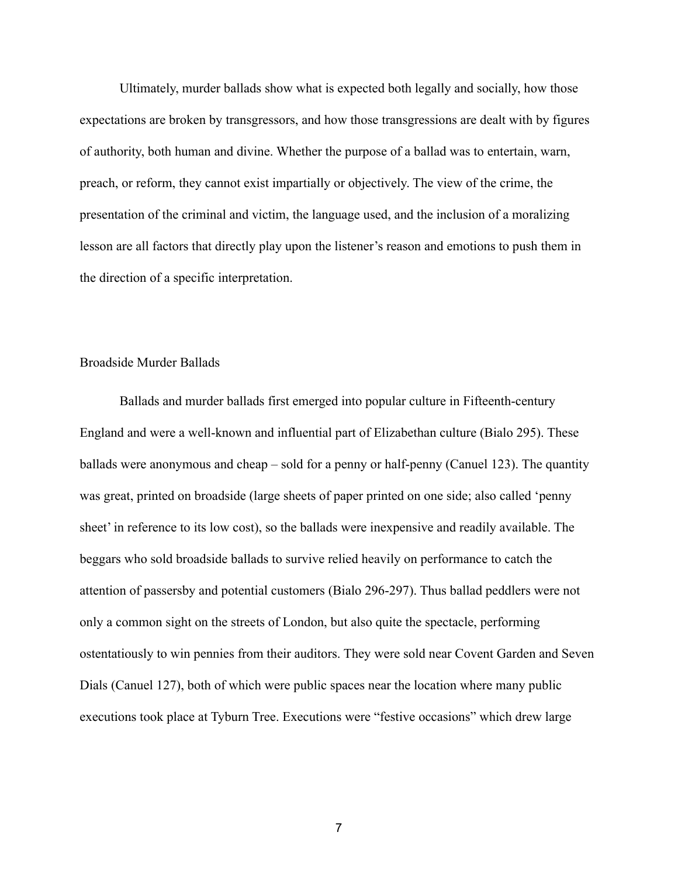Ultimately, murder ballads show what is expected both legally and socially, how those expectations are broken by transgressors, and how those transgressions are dealt with by figures of authority, both human and divine. Whether the purpose of a ballad was to entertain, warn, preach, or reform, they cannot exist impartially or objectively. The view of the crime, the presentation of the criminal and victim, the language used, and the inclusion of a moralizing lesson are all factors that directly play upon the listener's reason and emotions to push them in the direction of a specific interpretation.

## Broadside Murder Ballads

Ballads and murder ballads first emerged into popular culture in Fifteenth-century England and were a well-known and influential part of Elizabethan culture (Bialo 295). These ballads were anonymous and cheap – sold for a penny or half-penny (Canuel 123). The quantity was great, printed on broadside (large sheets of paper printed on one side; also called 'penny sheet' in reference to its low cost), so the ballads were inexpensive and readily available. The beggars who sold broadside ballads to survive relied heavily on performance to catch the attention of passersby and potential customers (Bialo 296-297). Thus ballad peddlers were not only a common sight on the streets of London, but also quite the spectacle, performing ostentatiously to win pennies from their auditors. They were sold near Covent Garden and Seven Dials (Canuel 127), both of which were public spaces near the location where many public executions took place at Tyburn Tree. Executions were "festive occasions" which drew large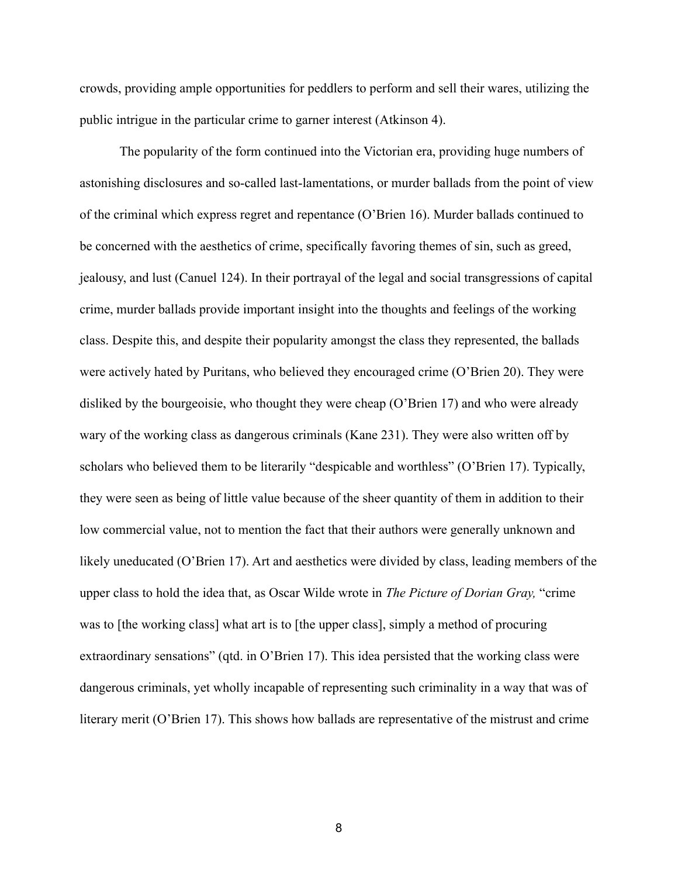crowds, providing ample opportunities for peddlers to perform and sell their wares, utilizing the public intrigue in the particular crime to garner interest (Atkinson 4).

The popularity of the form continued into the Victorian era, providing huge numbers of astonishing disclosures and so-called last-lamentations, or murder ballads from the point of view of the criminal which express regret and repentance (O'Brien 16). Murder ballads continued to be concerned with the aesthetics of crime, specifically favoring themes of sin, such as greed, jealousy, and lust (Canuel 124). In their portrayal of the legal and social transgressions of capital crime, murder ballads provide important insight into the thoughts and feelings of the working class. Despite this, and despite their popularity amongst the class they represented, the ballads were actively hated by Puritans, who believed they encouraged crime (O'Brien 20). They were disliked by the bourgeoisie, who thought they were cheap (O'Brien 17) and who were already wary of the working class as dangerous criminals (Kane 231). They were also written off by scholars who believed them to be literarily "despicable and worthless" (O'Brien 17). Typically, they were seen as being of little value because of the sheer quantity of them in addition to their low commercial value, not to mention the fact that their authors were generally unknown and likely uneducated (O'Brien 17). Art and aesthetics were divided by class, leading members of the upper class to hold the idea that, as Oscar Wilde wrote in *The Picture of Dorian Gray,* "crime was to [the working class] what art is to [the upper class], simply a method of procuring extraordinary sensations" (qtd. in O'Brien 17). This idea persisted that the working class were dangerous criminals, yet wholly incapable of representing such criminality in a way that was of literary merit (O'Brien 17). This shows how ballads are representative of the mistrust and crime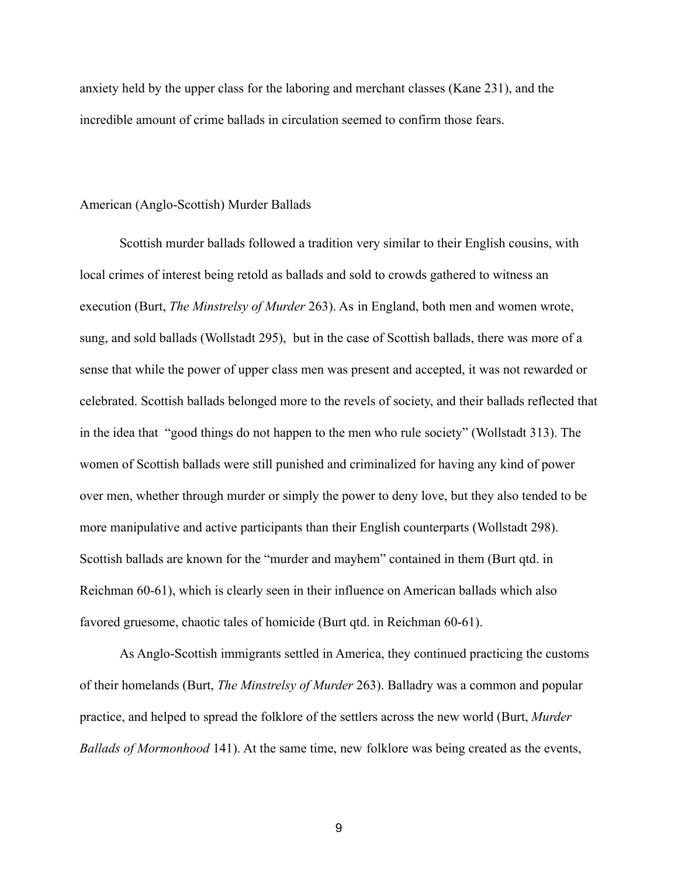anxiety held by the upper class for the laboring and merchant classes (Kane 231), and the incredible amount of crime ballads in circulation seemed to confirm those fears.

#### American (Anglo-Scottish) Murder Ballads

Scottish murder ballads followed a tradition very similar to their English cousins, with local crimes of interest being retold as ballads and sold to crowds gathered to witness an execution (Burt, *The Minstrelsy of Murder* 263). As in England, both men and women wrote, sung, and sold ballads (Wollstadt 295), but in the case of Scottish ballads, there was more of a sense that while the power of upper class men was present and accepted, it was not rewarded or celebrated. Scottish ballads belonged more to the revels of society, and their ballads reflected that in the idea that "good things do not happen to the men who rule society" (Wollstadt 313). The women of Scottish ballads were still punished and criminalized for having any kind of power over men, whether through murder or simply the power to deny love, but they also tended to be more manipulative and active participants than their English counterparts (Wollstadt 298). Scottish ballads are known for the "murder and mayhem" contained in them (Burt qtd. in Reichman 60-61), which is clearly seen in their influence on American ballads which also favored gruesome, chaotic tales of homicide (Burt qtd. in Reichman 60-61).

As Anglo-Scottish immigrants settled in America, they continued practicing the customs of their homelands (Burt, *The Minstrelsy of Murder* 263). Balladry was a common and popular practice, and helped to spread the folklore of the settlers across the new world (Burt, *Murder Ballads of Mormonhood* 141). At the same time, new folklore was being created as the events,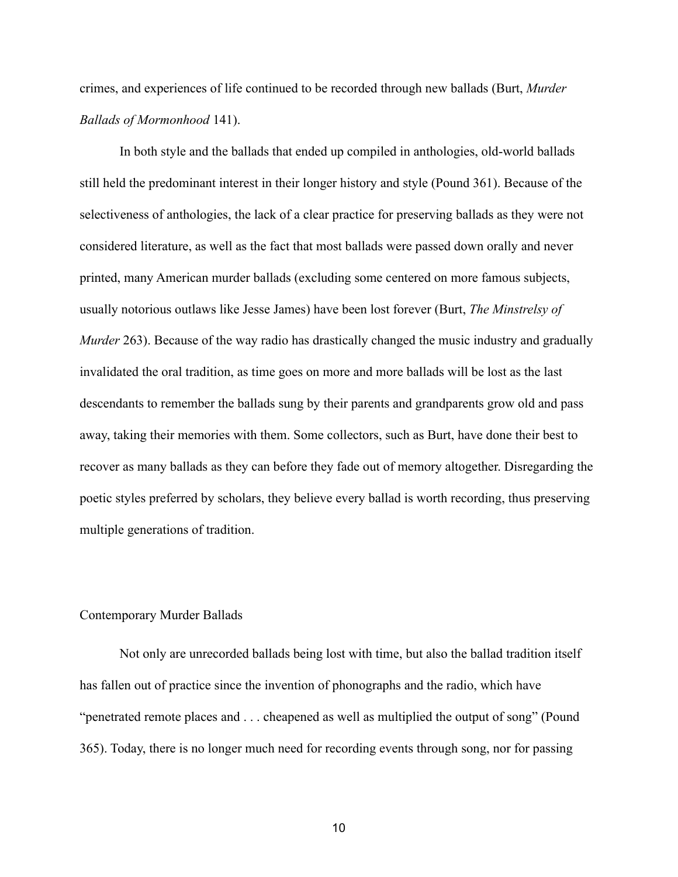crimes, and experiences of life continued to be recorded through new ballads (Burt, *Murder Ballads of Mormonhood* 141).

In both style and the ballads that ended up compiled in anthologies, old-world ballads still held the predominant interest in their longer history and style (Pound 361). Because of the selectiveness of anthologies, the lack of a clear practice for preserving ballads as they were not considered literature, as well as the fact that most ballads were passed down orally and never printed, many American murder ballads (excluding some centered on more famous subjects, usually notorious outlaws like Jesse James) have been lost forever (Burt, *The Minstrelsy of Murder* 263). Because of the way radio has drastically changed the music industry and gradually invalidated the oral tradition, as time goes on more and more ballads will be lost as the last descendants to remember the ballads sung by their parents and grandparents grow old and pass away, taking their memories with them. Some collectors, such as Burt, have done their best to recover as many ballads as they can before they fade out of memory altogether. Disregarding the poetic styles preferred by scholars, they believe every ballad is worth recording, thus preserving multiple generations of tradition.

# Contemporary Murder Ballads

Not only are unrecorded ballads being lost with time, but also the ballad tradition itself has fallen out of practice since the invention of phonographs and the radio, which have "penetrated remote places and . . . cheapened as well as multiplied the output of song" (Pound 365). Today, there is no longer much need for recording events through song, nor for passing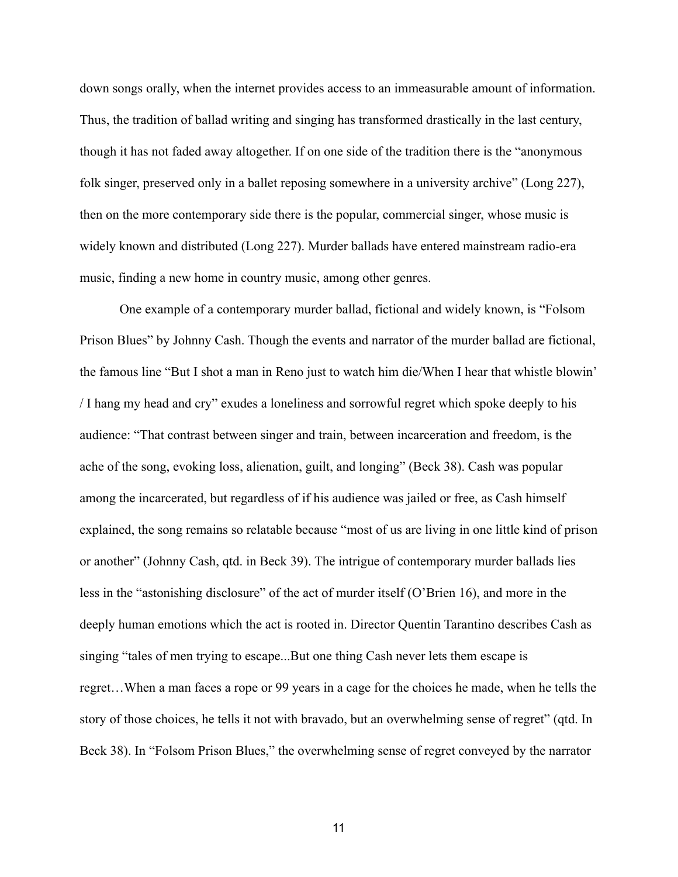down songs orally, when the internet provides access to an immeasurable amount of information. Thus, the tradition of ballad writing and singing has transformed drastically in the last century, though it has not faded away altogether. If on one side of the tradition there is the "anonymous folk singer, preserved only in a ballet reposing somewhere in a university archive" (Long 227), then on the more contemporary side there is the popular, commercial singer, whose music is widely known and distributed (Long 227). Murder ballads have entered mainstream radio-era music, finding a new home in country music, among other genres.

One example of a contemporary murder ballad, fictional and widely known, is "Folsom Prison Blues" by Johnny Cash. Though the events and narrator of the murder ballad are fictional, the famous line "But I shot a man in Reno just to watch him die/When I hear that whistle blowin' / I hang my head and cry" exudes a loneliness and sorrowful regret which spoke deeply to his audience: "That contrast between singer and train, between incarceration and freedom, is the ache of the song, evoking loss, alienation, guilt, and longing" (Beck 38). Cash was popular among the incarcerated, but regardless of if his audience was jailed or free, as Cash himself explained, the song remains so relatable because "most of us are living in one little kind of prison or another" (Johnny Cash, qtd. in Beck 39). The intrigue of contemporary murder ballads lies less in the "astonishing disclosure" of the act of murder itself (O'Brien 16), and more in the deeply human emotions which the act is rooted in. Director Quentin Tarantino describes Cash as singing "tales of men trying to escape...But one thing Cash never lets them escape is regret…When a man faces a rope or 99 years in a cage for the choices he made, when he tells the story of those choices, he tells it not with bravado, but an overwhelming sense of regret" (qtd. In Beck 38). In "Folsom Prison Blues," the overwhelming sense of regret conveyed by the narrator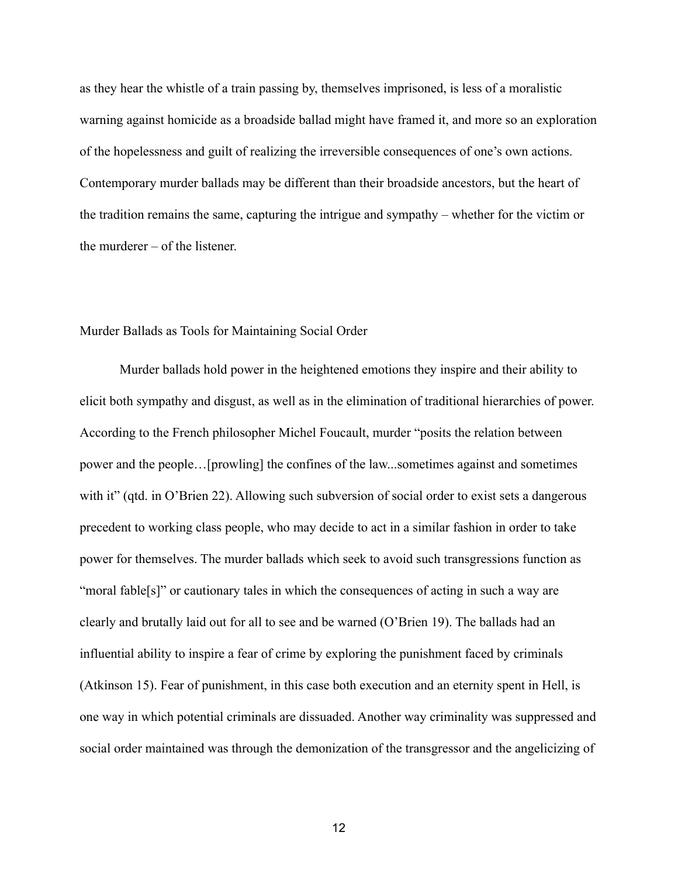as they hear the whistle of a train passing by, themselves imprisoned, is less of a moralistic warning against homicide as a broadside ballad might have framed it, and more so an exploration of the hopelessness and guilt of realizing the irreversible consequences of one's own actions. Contemporary murder ballads may be different than their broadside ancestors, but the heart of the tradition remains the same, capturing the intrigue and sympathy – whether for the victim or the murderer – of the listener.

## Murder Ballads as Tools for Maintaining Social Order

Murder ballads hold power in the heightened emotions they inspire and their ability to elicit both sympathy and disgust, as well as in the elimination of traditional hierarchies of power. According to the French philosopher Michel Foucault, murder "posits the relation between power and the people…[prowling] the confines of the law...sometimes against and sometimes with it" (qtd. in O'Brien 22). Allowing such subversion of social order to exist sets a dangerous precedent to working class people, who may decide to act in a similar fashion in order to take power for themselves. The murder ballads which seek to avoid such transgressions function as "moral fable[s]" or cautionary tales in which the consequences of acting in such a way are clearly and brutally laid out for all to see and be warned (O'Brien 19). The ballads had an influential ability to inspire a fear of crime by exploring the punishment faced by criminals (Atkinson 15). Fear of punishment, in this case both execution and an eternity spent in Hell, is one way in which potential criminals are dissuaded. Another way criminality was suppressed and social order maintained was through the demonization of the transgressor and the angelicizing of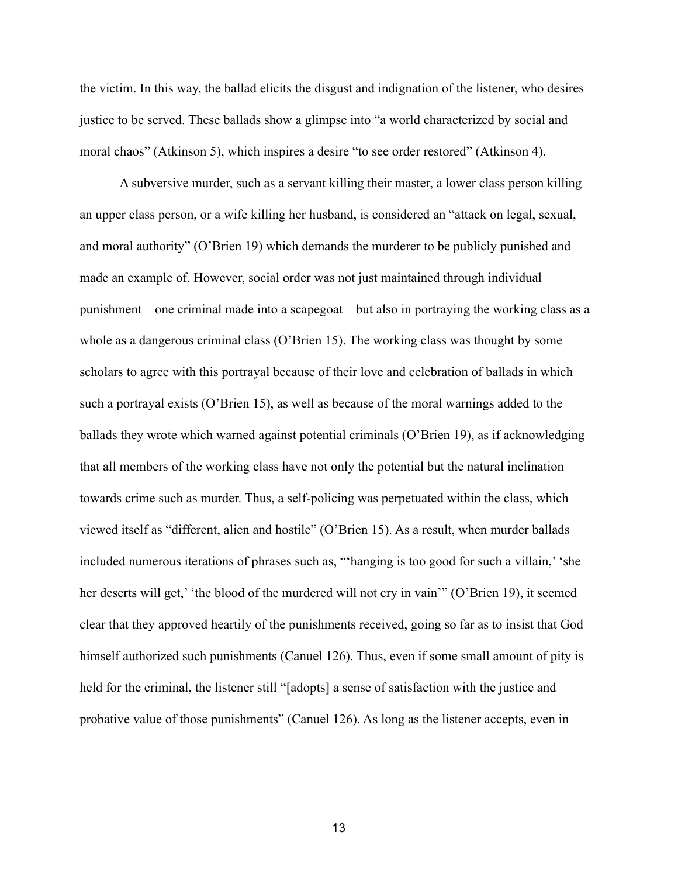the victim. In this way, the ballad elicits the disgust and indignation of the listener, who desires justice to be served. These ballads show a glimpse into "a world characterized by social and moral chaos" (Atkinson 5), which inspires a desire "to see order restored" (Atkinson 4).

A subversive murder, such as a servant killing their master, a lower class person killing an upper class person, or a wife killing her husband, is considered an "attack on legal, sexual, and moral authority" (O'Brien 19) which demands the murderer to be publicly punished and made an example of. However, social order was not just maintained through individual punishment – one criminal made into a scapegoat – but also in portraying the working class as a whole as a dangerous criminal class (O'Brien 15). The working class was thought by some scholars to agree with this portrayal because of their love and celebration of ballads in which such a portrayal exists (O'Brien 15), as well as because of the moral warnings added to the ballads they wrote which warned against potential criminals (O'Brien 19), as if acknowledging that all members of the working class have not only the potential but the natural inclination towards crime such as murder. Thus, a self-policing was perpetuated within the class, which viewed itself as "different, alien and hostile" (O'Brien 15). As a result, when murder ballads included numerous iterations of phrases such as, "'hanging is too good for such a villain,' 'she her deserts will get,' 'the blood of the murdered will not cry in vain'" (O'Brien 19), it seemed clear that they approved heartily of the punishments received, going so far as to insist that God himself authorized such punishments (Canuel 126). Thus, even if some small amount of pity is held for the criminal, the listener still "[adopts] a sense of satisfaction with the justice and probative value of those punishments" (Canuel 126). As long as the listener accepts, even in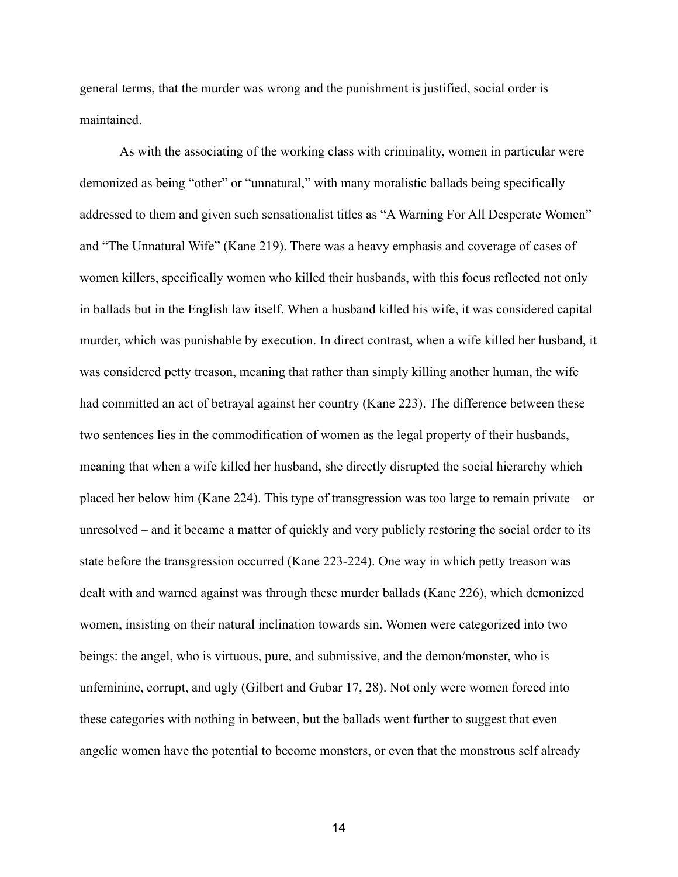general terms, that the murder was wrong and the punishment is justified, social order is maintained.

As with the associating of the working class with criminality, women in particular were demonized as being "other" or "unnatural," with many moralistic ballads being specifically addressed to them and given such sensationalist titles as "A Warning For All Desperate Women" and "The Unnatural Wife" (Kane 219). There was a heavy emphasis and coverage of cases of women killers, specifically women who killed their husbands, with this focus reflected not only in ballads but in the English law itself. When a husband killed his wife, it was considered capital murder, which was punishable by execution. In direct contrast, when a wife killed her husband, it was considered petty treason, meaning that rather than simply killing another human, the wife had committed an act of betrayal against her country (Kane 223). The difference between these two sentences lies in the commodification of women as the legal property of their husbands, meaning that when a wife killed her husband, she directly disrupted the social hierarchy which placed her below him (Kane 224). This type of transgression was too large to remain private – or unresolved – and it became a matter of quickly and very publicly restoring the social order to its state before the transgression occurred (Kane 223-224). One way in which petty treason was dealt with and warned against was through these murder ballads (Kane 226), which demonized women, insisting on their natural inclination towards sin. Women were categorized into two beings: the angel, who is virtuous, pure, and submissive, and the demon/monster, who is unfeminine, corrupt, and ugly (Gilbert and Gubar 17, 28). Not only were women forced into these categories with nothing in between, but the ballads went further to suggest that even angelic women have the potential to become monsters, or even that the monstrous self already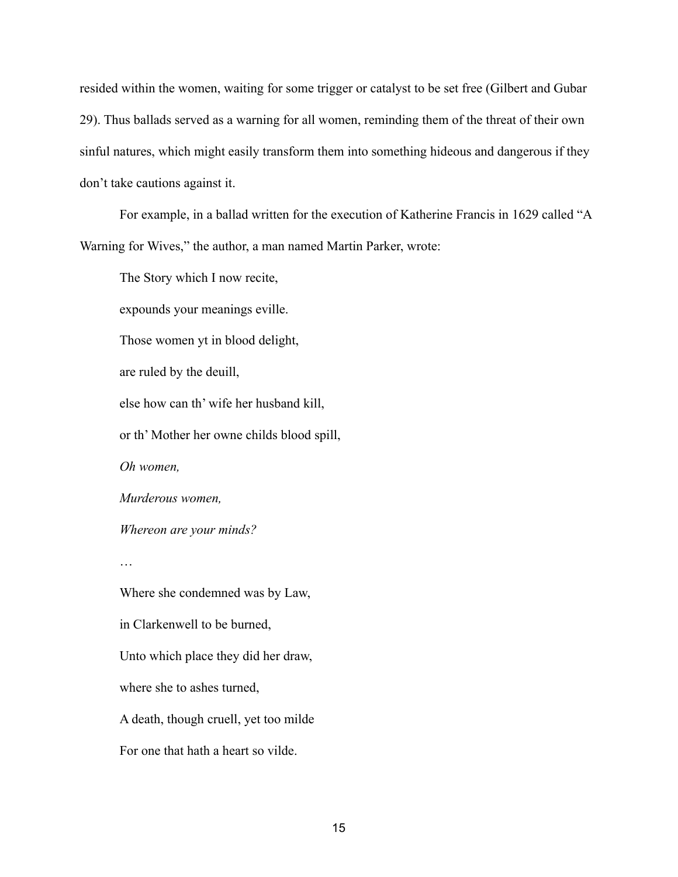resided within the women, waiting for some trigger or catalyst to be set free (Gilbert and Gubar 29). Thus ballads served as a warning for all women, reminding them of the threat of their own sinful natures, which might easily transform them into something hideous and dangerous if they don't take cautions against it.

For example, in a ballad written for the execution of Katherine Francis in 1629 called "A Warning for Wives," the author, a man named Martin Parker, wrote:

The Story which I now recite,

expounds your meanings eville.

Those women yt in blood delight,

are ruled by the deuill,

else how can th' wife her husband kill,

or th' Mother her owne childs blood spill,

*Oh women,*

*Murderous women,*

*Whereon are your minds?*

…

Where she condemned was by Law, in Clarkenwell to be burned, Unto which place they did her draw, where she to ashes turned, A death, though cruell, yet too milde For one that hath a heart so vilde.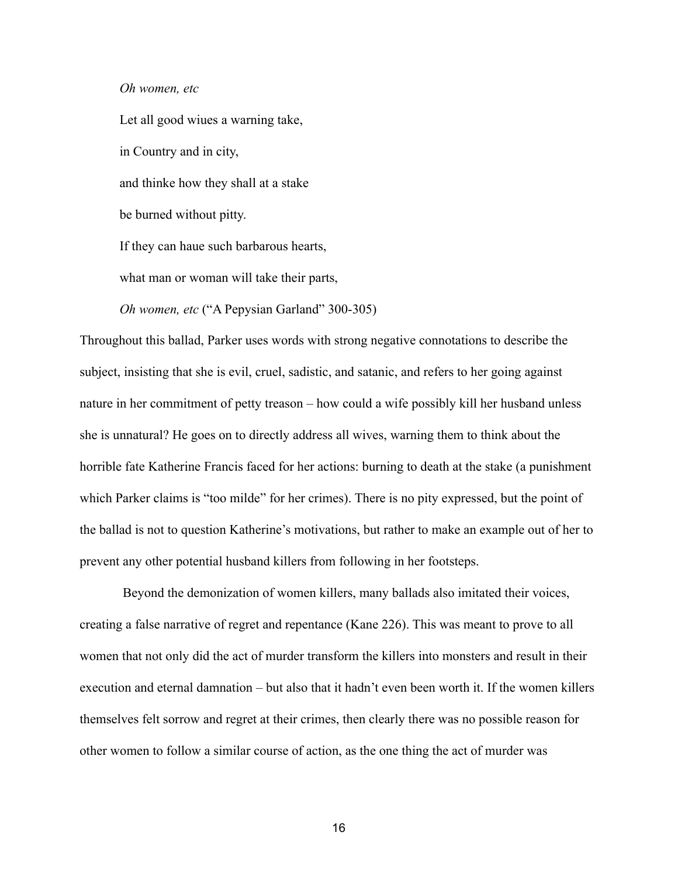*Oh women, etc*

Let all good wiues a warning take, in Country and in city, and thinke how they shall at a stake be burned without pitty. If they can haue such barbarous hearts, what man or woman will take their parts,

*Oh women, etc* ("A Pepysian Garland" 300-305)

Throughout this ballad, Parker uses words with strong negative connotations to describe the subject, insisting that she is evil, cruel, sadistic, and satanic, and refers to her going against nature in her commitment of petty treason – how could a wife possibly kill her husband unless she is unnatural? He goes on to directly address all wives, warning them to think about the horrible fate Katherine Francis faced for her actions: burning to death at the stake (a punishment which Parker claims is "too milde" for her crimes). There is no pity expressed, but the point of the ballad is not to question Katherine's motivations, but rather to make an example out of her to prevent any other potential husband killers from following in her footsteps.

Beyond the demonization of women killers, many ballads also imitated their voices, creating a false narrative of regret and repentance (Kane 226). This was meant to prove to all women that not only did the act of murder transform the killers into monsters and result in their execution and eternal damnation – but also that it hadn't even been worth it. If the women killers themselves felt sorrow and regret at their crimes, then clearly there was no possible reason for other women to follow a similar course of action, as the one thing the act of murder was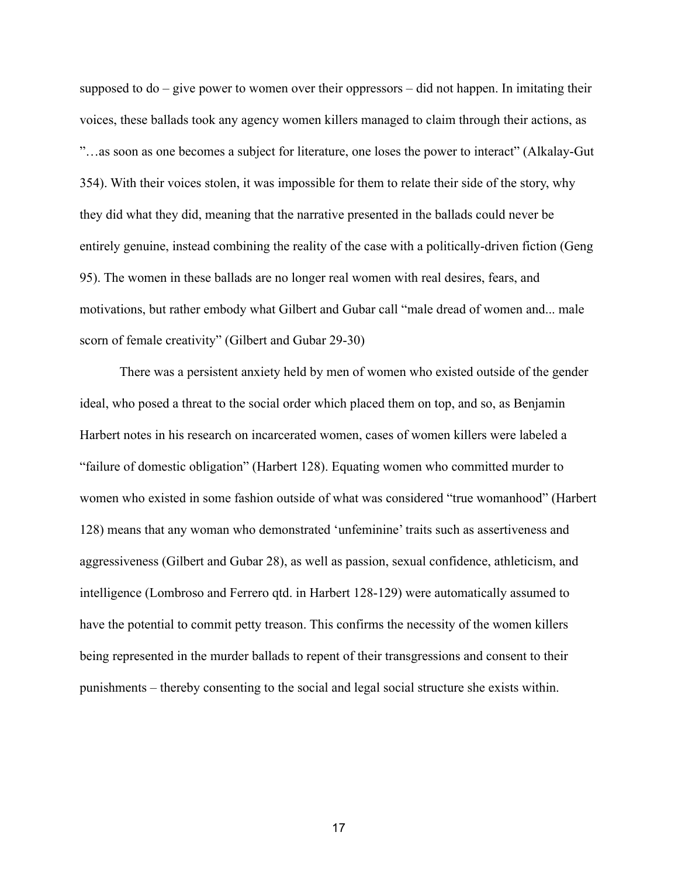supposed to do – give power to women over their oppressors – did not happen. In imitating their voices, these ballads took any agency women killers managed to claim through their actions, as "…as soon as one becomes a subject for literature, one loses the power to interact" (Alkalay-Gut 354). With their voices stolen, it was impossible for them to relate their side of the story, why they did what they did, meaning that the narrative presented in the ballads could never be entirely genuine, instead combining the reality of the case with a politically-driven fiction (Geng 95). The women in these ballads are no longer real women with real desires, fears, and motivations, but rather embody what Gilbert and Gubar call "male dread of women and... male scorn of female creativity" (Gilbert and Gubar 29-30)

There was a persistent anxiety held by men of women who existed outside of the gender ideal, who posed a threat to the social order which placed them on top, and so, as Benjamin Harbert notes in his research on incarcerated women, cases of women killers were labeled a "failure of domestic obligation" (Harbert 128). Equating women who committed murder to women who existed in some fashion outside of what was considered "true womanhood" (Harbert 128) means that any woman who demonstrated 'unfeminine' traits such as assertiveness and aggressiveness (Gilbert and Gubar 28), as well as passion, sexual confidence, athleticism, and intelligence (Lombroso and Ferrero qtd. in Harbert 128-129) were automatically assumed to have the potential to commit petty treason. This confirms the necessity of the women killers being represented in the murder ballads to repent of their transgressions and consent to their punishments – thereby consenting to the social and legal social structure she exists within.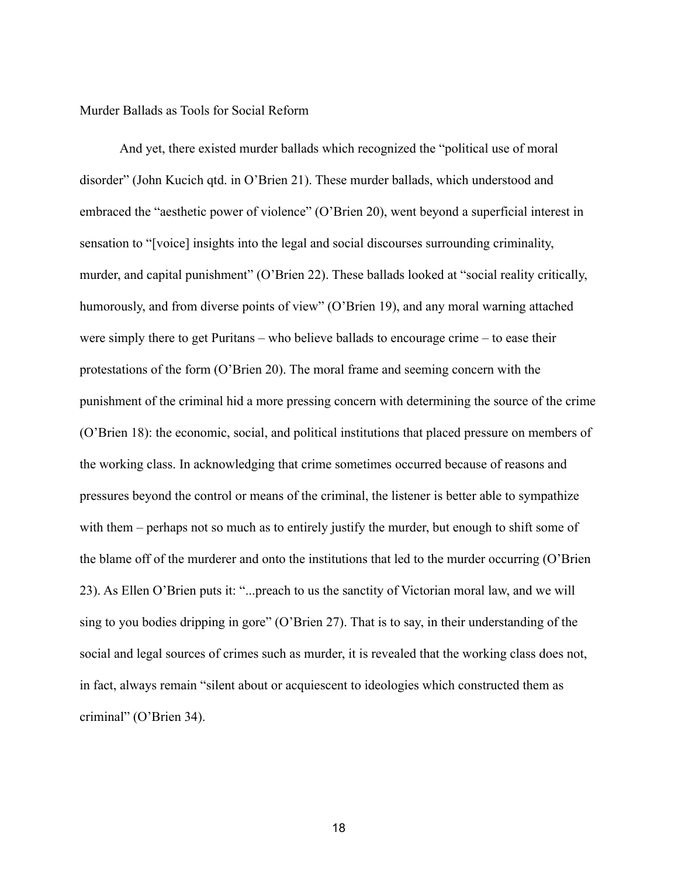Murder Ballads as Tools for Social Reform

And yet, there existed murder ballads which recognized the "political use of moral disorder" (John Kucich qtd. in O'Brien 21). These murder ballads, which understood and embraced the "aesthetic power of violence" (O'Brien 20), went beyond a superficial interest in sensation to "[voice] insights into the legal and social discourses surrounding criminality, murder, and capital punishment" (O'Brien 22). These ballads looked at "social reality critically, humorously, and from diverse points of view" (O'Brien 19), and any moral warning attached were simply there to get Puritans – who believe ballads to encourage crime – to ease their protestations of the form (O'Brien 20). The moral frame and seeming concern with the punishment of the criminal hid a more pressing concern with determining the source of the crime (O'Brien 18): the economic, social, and political institutions that placed pressure on members of the working class. In acknowledging that crime sometimes occurred because of reasons and pressures beyond the control or means of the criminal, the listener is better able to sympathize with them – perhaps not so much as to entirely justify the murder, but enough to shift some of the blame off of the murderer and onto the institutions that led to the murder occurring (O'Brien 23). As Ellen O'Brien puts it: "...preach to us the sanctity of Victorian moral law, and we will sing to you bodies dripping in gore" (O'Brien 27). That is to say, in their understanding of the social and legal sources of crimes such as murder, it is revealed that the working class does not, in fact, always remain "silent about or acquiescent to ideologies which constructed them as criminal" (O'Brien 34).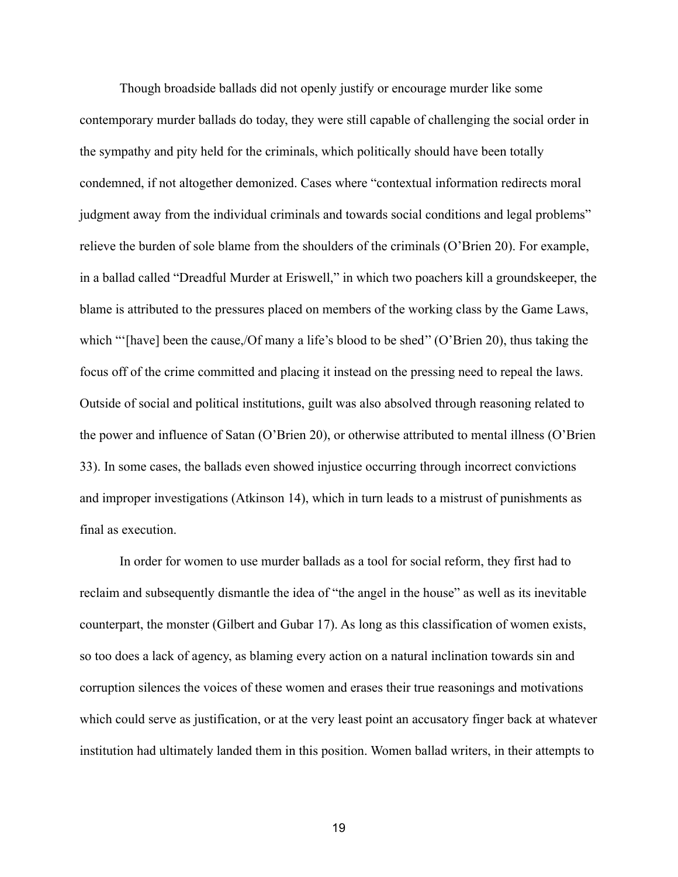Though broadside ballads did not openly justify or encourage murder like some contemporary murder ballads do today, they were still capable of challenging the social order in the sympathy and pity held for the criminals, which politically should have been totally condemned, if not altogether demonized. Cases where "contextual information redirects moral judgment away from the individual criminals and towards social conditions and legal problems" relieve the burden of sole blame from the shoulders of the criminals (O'Brien 20). For example, in a ballad called "Dreadful Murder at Eriswell," in which two poachers kill a groundskeeper, the blame is attributed to the pressures placed on members of the working class by the Game Laws, which "'[have] been the cause,/Of many a life's blood to be shed" (O'Brien 20), thus taking the focus off of the crime committed and placing it instead on the pressing need to repeal the laws. Outside of social and political institutions, guilt was also absolved through reasoning related to the power and influence of Satan (O'Brien 20), or otherwise attributed to mental illness (O'Brien 33). In some cases, the ballads even showed injustice occurring through incorrect convictions and improper investigations (Atkinson 14), which in turn leads to a mistrust of punishments as final as execution.

In order for women to use murder ballads as a tool for social reform, they first had to reclaim and subsequently dismantle the idea of "the angel in the house" as well as its inevitable counterpart, the monster (Gilbert and Gubar 17). As long as this classification of women exists, so too does a lack of agency, as blaming every action on a natural inclination towards sin and corruption silences the voices of these women and erases their true reasonings and motivations which could serve as justification, or at the very least point an accusatory finger back at whatever institution had ultimately landed them in this position. Women ballad writers, in their attempts to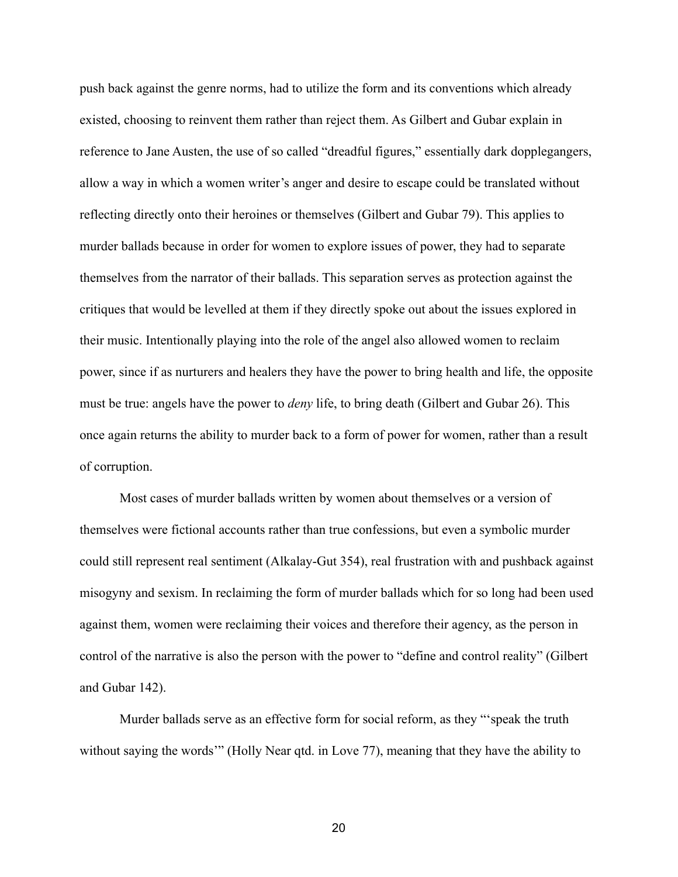push back against the genre norms, had to utilize the form and its conventions which already existed, choosing to reinvent them rather than reject them. As Gilbert and Gubar explain in reference to Jane Austen, the use of so called "dreadful figures," essentially dark dopplegangers, allow a way in which a women writer's anger and desire to escape could be translated without reflecting directly onto their heroines or themselves (Gilbert and Gubar 79). This applies to murder ballads because in order for women to explore issues of power, they had to separate themselves from the narrator of their ballads. This separation serves as protection against the critiques that would be levelled at them if they directly spoke out about the issues explored in their music. Intentionally playing into the role of the angel also allowed women to reclaim power, since if as nurturers and healers they have the power to bring health and life, the opposite must be true: angels have the power to *deny* life, to bring death (Gilbert and Gubar 26). This once again returns the ability to murder back to a form of power for women, rather than a result of corruption.

Most cases of murder ballads written by women about themselves or a version of themselves were fictional accounts rather than true confessions, but even a symbolic murder could still represent real sentiment (Alkalay-Gut 354), real frustration with and pushback against misogyny and sexism. In reclaiming the form of murder ballads which for so long had been used against them, women were reclaiming their voices and therefore their agency, as the person in control of the narrative is also the person with the power to "define and control reality" (Gilbert and Gubar 142).

Murder ballads serve as an effective form for social reform, as they "'speak the truth without saying the words'" (Holly Near qtd. in Love 77), meaning that they have the ability to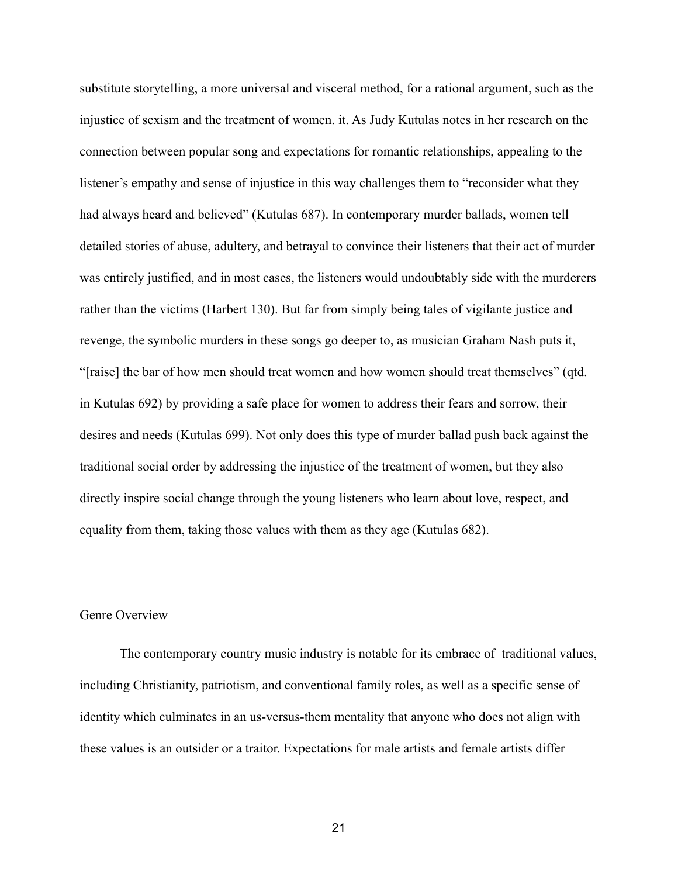substitute storytelling, a more universal and visceral method, for a rational argument, such as the injustice of sexism and the treatment of women. it. As Judy Kutulas notes in her research on the connection between popular song and expectations for romantic relationships, appealing to the listener's empathy and sense of injustice in this way challenges them to "reconsider what they had always heard and believed" (Kutulas 687). In contemporary murder ballads, women tell detailed stories of abuse, adultery, and betrayal to convince their listeners that their act of murder was entirely justified, and in most cases, the listeners would undoubtably side with the murderers rather than the victims (Harbert 130). But far from simply being tales of vigilante justice and revenge, the symbolic murders in these songs go deeper to, as musician Graham Nash puts it, "[raise] the bar of how men should treat women and how women should treat themselves" (qtd. in Kutulas 692) by providing a safe place for women to address their fears and sorrow, their desires and needs (Kutulas 699). Not only does this type of murder ballad push back against the traditional social order by addressing the injustice of the treatment of women, but they also directly inspire social change through the young listeners who learn about love, respect, and equality from them, taking those values with them as they age (Kutulas 682).

# Genre Overview

The contemporary country music industry is notable for its embrace of traditional values, including Christianity, patriotism, and conventional family roles, as well as a specific sense of identity which culminates in an us-versus-them mentality that anyone who does not align with these values is an outsider or a traitor. Expectations for male artists and female artists differ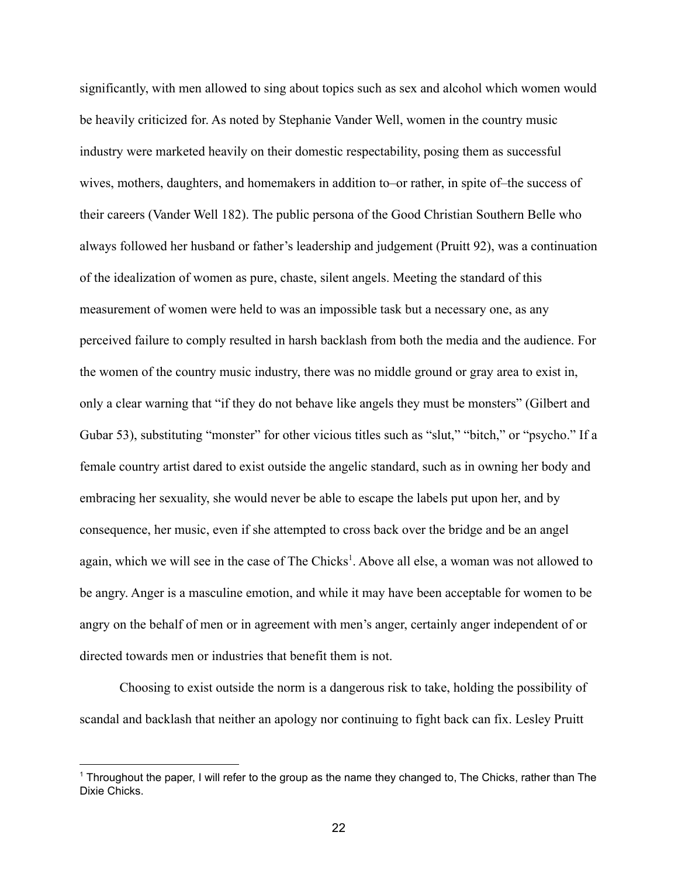significantly, with men allowed to sing about topics such as sex and alcohol which women would be heavily criticized for. As noted by Stephanie Vander Well, women in the country music industry were marketed heavily on their domestic respectability, posing them as successful wives, mothers, daughters, and homemakers in addition to–or rather, in spite of–the success of their careers (Vander Well 182). The public persona of the Good Christian Southern Belle who always followed her husband or father's leadership and judgement (Pruitt 92), was a continuation of the idealization of women as pure, chaste, silent angels. Meeting the standard of this measurement of women were held to was an impossible task but a necessary one, as any perceived failure to comply resulted in harsh backlash from both the media and the audience. For the women of the country music industry, there was no middle ground or gray area to exist in, only a clear warning that "if they do not behave like angels they must be monsters" (Gilbert and Gubar 53), substituting "monster" for other vicious titles such as "slut," "bitch," or "psycho." If a female country artist dared to exist outside the angelic standard, such as in owning her body and embracing her sexuality, she would never be able to escape the labels put upon her, and by consequence, her music, even if she attempted to cross back over the bridge and be an angel again, which we will see in the case of The Chicks<sup>1</sup>. Above all else, a woman was not allowed to be angry. Anger is a masculine emotion, and while it may have been acceptable for women to be angry on the behalf of men or in agreement with men's anger, certainly anger independent of or directed towards men or industries that benefit them is not.

Choosing to exist outside the norm is a dangerous risk to take, holding the possibility of scandal and backlash that neither an apology nor continuing to fight back can fix. Lesley Pruitt

<sup>&</sup>lt;sup>1</sup> Throughout the paper, I will refer to the group as the name they changed to, The Chicks, rather than The Dixie Chicks.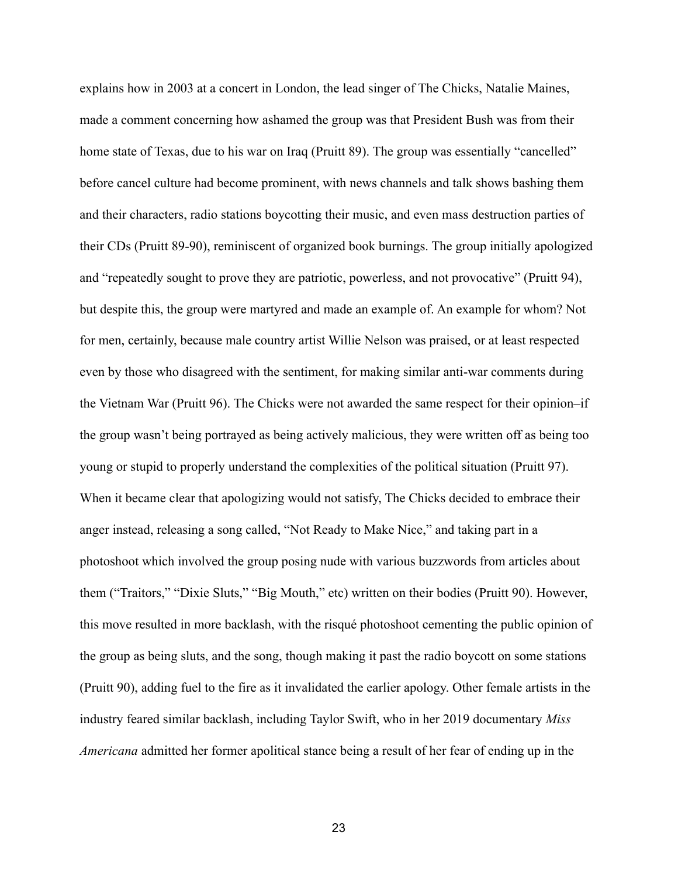explains how in 2003 at a concert in London, the lead singer of The Chicks, Natalie Maines, made a comment concerning how ashamed the group was that President Bush was from their home state of Texas, due to his war on Iraq (Pruitt 89). The group was essentially "cancelled" before cancel culture had become prominent, with news channels and talk shows bashing them and their characters, radio stations boycotting their music, and even mass destruction parties of their CDs (Pruitt 89-90), reminiscent of organized book burnings. The group initially apologized and "repeatedly sought to prove they are patriotic, powerless, and not provocative" (Pruitt 94), but despite this, the group were martyred and made an example of. An example for whom? Not for men, certainly, because male country artist Willie Nelson was praised, or at least respected even by those who disagreed with the sentiment, for making similar anti-war comments during the Vietnam War (Pruitt 96). The Chicks were not awarded the same respect for their opinion–if the group wasn't being portrayed as being actively malicious, they were written off as being too young or stupid to properly understand the complexities of the political situation (Pruitt 97). When it became clear that apologizing would not satisfy, The Chicks decided to embrace their anger instead, releasing a song called, "Not Ready to Make Nice," and taking part in a photoshoot which involved the group posing nude with various buzzwords from articles about them ("Traitors," "Dixie Sluts," "Big Mouth," etc) written on their bodies (Pruitt 90). However, this move resulted in more backlash, with the risqué photoshoot cementing the public opinion of the group as being sluts, and the song, though making it past the radio boycott on some stations (Pruitt 90), adding fuel to the fire as it invalidated the earlier apology. Other female artists in the industry feared similar backlash, including Taylor Swift, who in her 2019 documentary *Miss Americana* admitted her former apolitical stance being a result of her fear of ending up in the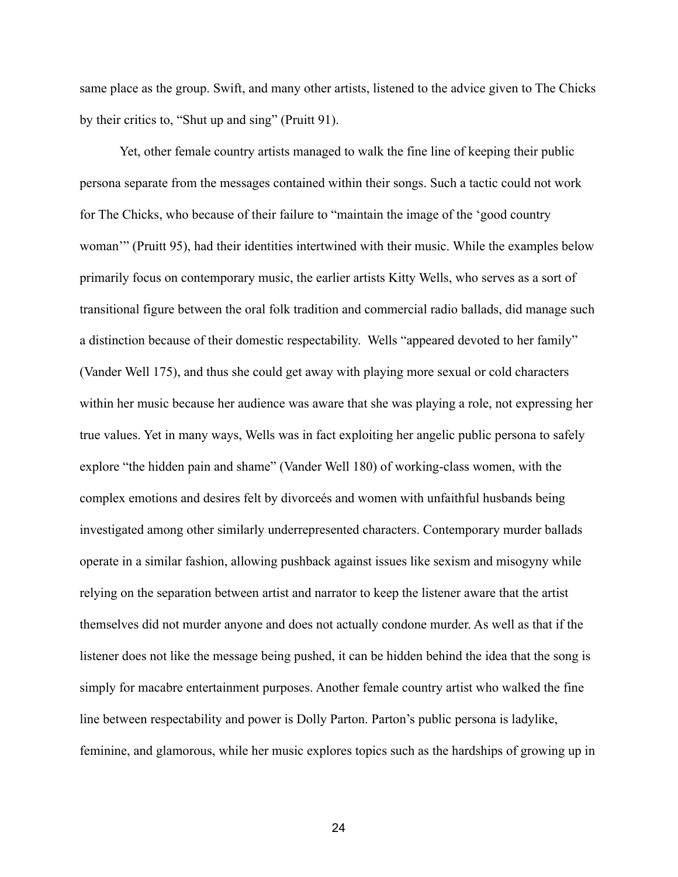same place as the group. Swift, and many other artists, listened to the advice given to The Chicks by their critics to, "Shut up and sing" (Pruitt 91).

Yet, other female country artists managed to walk the fine line of keeping their public persona separate from the messages contained within their songs. Such a tactic could not work for The Chicks, who because of their failure to "maintain the image of the 'good country woman'" (Pruitt 95), had their identities intertwined with their music. While the examples below primarily focus on contemporary music, the earlier artists Kitty Wells, who serves as a sort of transitional figure between the oral folk tradition and commercial radio ballads, did manage such a distinction because of their domestic respectability. Wells "appeared devoted to her family" (Vander Well 175), and thus she could get away with playing more sexual or cold characters within her music because her audience was aware that she was playing a role, not expressing her true values. Yet in many ways, Wells was in fact exploiting her angelic public persona to safely explore "the hidden pain and shame" (Vander Well 180) of working-class women, with the complex emotions and desires felt by divorceés and women with unfaithful husbands being investigated among other similarly underrepresented characters. Contemporary murder ballads operate in a similar fashion, allowing pushback against issues like sexism and misogyny while relying on the separation between artist and narrator to keep the listener aware that the artist themselves did not murder anyone and does not actually condone murder. As well as that if the listener does not like the message being pushed, it can be hidden behind the idea that the song is simply for macabre entertainment purposes. Another female country artist who walked the fine line between respectability and power is Dolly Parton. Parton's public persona is ladylike, feminine, and glamorous, while her music explores topics such as the hardships of growing up in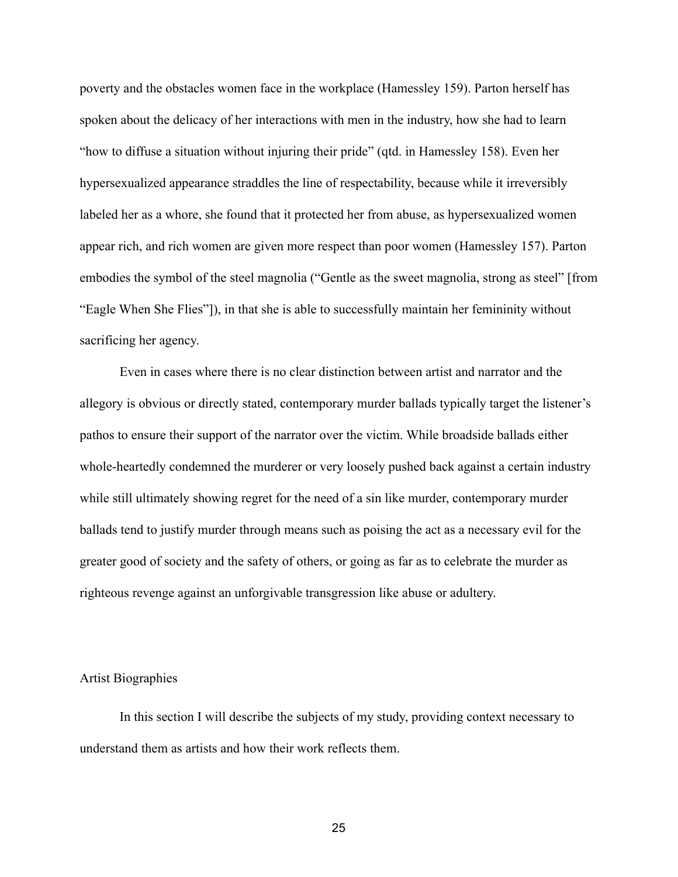poverty and the obstacles women face in the workplace (Hamessley 159). Parton herself has spoken about the delicacy of her interactions with men in the industry, how she had to learn "how to diffuse a situation without injuring their pride" (qtd. in Hamessley 158). Even her hypersexualized appearance straddles the line of respectability, because while it irreversibly labeled her as a whore, she found that it protected her from abuse, as hypersexualized women appear rich, and rich women are given more respect than poor women (Hamessley 157). Parton embodies the symbol of the steel magnolia ("Gentle as the sweet magnolia, strong as steel" [from "Eagle When She Flies"]), in that she is able to successfully maintain her femininity without sacrificing her agency.

Even in cases where there is no clear distinction between artist and narrator and the allegory is obvious or directly stated, contemporary murder ballads typically target the listener's pathos to ensure their support of the narrator over the victim. While broadside ballads either whole-heartedly condemned the murderer or very loosely pushed back against a certain industry while still ultimately showing regret for the need of a sin like murder, contemporary murder ballads tend to justify murder through means such as poising the act as a necessary evil for the greater good of society and the safety of others, or going as far as to celebrate the murder as righteous revenge against an unforgivable transgression like abuse or adultery.

#### Artist Biographies

In this section I will describe the subjects of my study, providing context necessary to understand them as artists and how their work reflects them.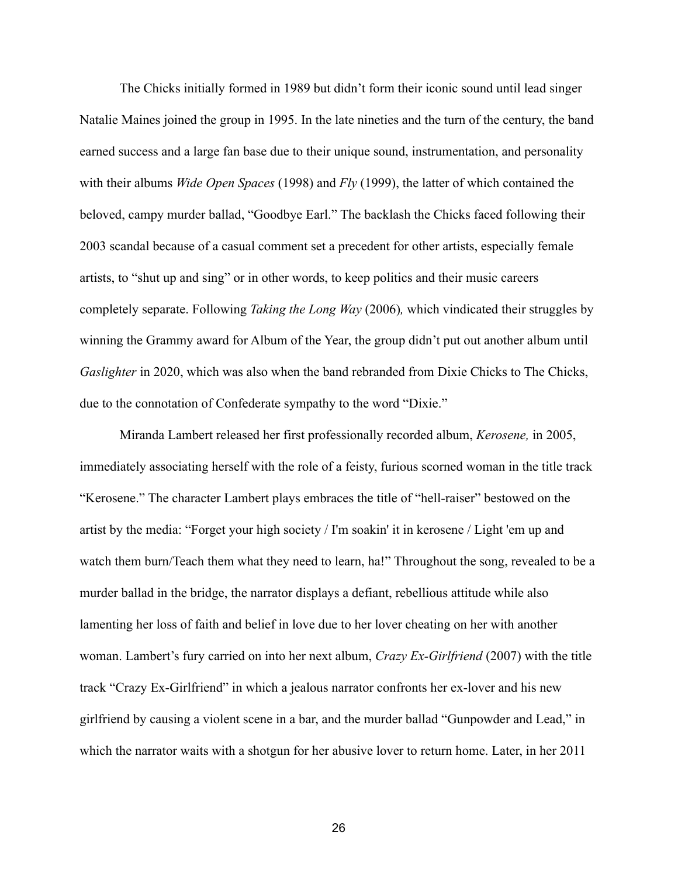The Chicks initially formed in 1989 but didn't form their iconic sound until lead singer Natalie Maines joined the group in 1995. In the late nineties and the turn of the century, the band earned success and a large fan base due to their unique sound, instrumentation, and personality with their albums *Wide Open Spaces* (1998) and *Fly* (1999), the latter of which contained the beloved, campy murder ballad, "Goodbye Earl." The backlash the Chicks faced following their 2003 scandal because of a casual comment set a precedent for other artists, especially female artists, to "shut up and sing" or in other words, to keep politics and their music careers completely separate. Following *Taking the Long Way* (2006)*,* which vindicated their struggles by winning the Grammy award for Album of the Year, the group didn't put out another album until *Gaslighter* in 2020, which was also when the band rebranded from Dixie Chicks to The Chicks, due to the connotation of Confederate sympathy to the word "Dixie."

Miranda Lambert released her first professionally recorded album, *Kerosene,* in 2005, immediately associating herself with the role of a feisty, furious scorned woman in the title track "Kerosene." The character Lambert plays embraces the title of "hell-raiser" bestowed on the artist by the media: "Forget your high society / I'm soakin' it in kerosene / Light 'em up and watch them burn/Teach them what they need to learn, ha!" Throughout the song, revealed to be a murder ballad in the bridge, the narrator displays a defiant, rebellious attitude while also lamenting her loss of faith and belief in love due to her lover cheating on her with another woman. Lambert's fury carried on into her next album, *Crazy Ex-Girlfriend* (2007) with the title track "Crazy Ex-Girlfriend" in which a jealous narrator confronts her ex-lover and his new girlfriend by causing a violent scene in a bar, and the murder ballad "Gunpowder and Lead," in which the narrator waits with a shotgun for her abusive lover to return home. Later, in her 2011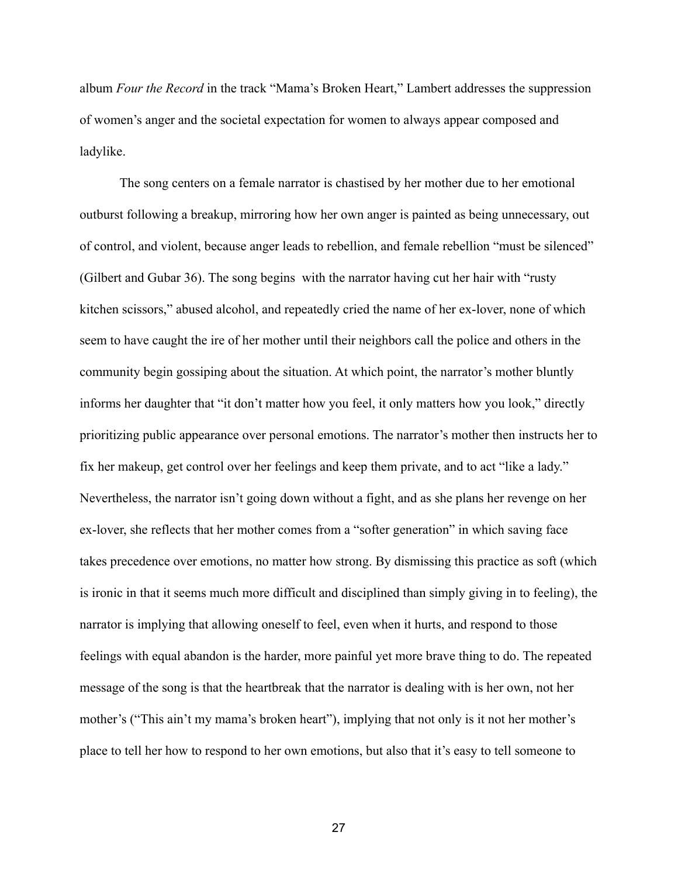album *Four the Record* in the track "Mama's Broken Heart," Lambert addresses the suppression of women's anger and the societal expectation for women to always appear composed and ladylike.

The song centers on a female narrator is chastised by her mother due to her emotional outburst following a breakup, mirroring how her own anger is painted as being unnecessary, out of control, and violent, because anger leads to rebellion, and female rebellion "must be silenced" (Gilbert and Gubar 36). The song begins with the narrator having cut her hair with "rusty kitchen scissors," abused alcohol, and repeatedly cried the name of her ex-lover, none of which seem to have caught the ire of her mother until their neighbors call the police and others in the community begin gossiping about the situation. At which point, the narrator's mother bluntly informs her daughter that "it don't matter how you feel, it only matters how you look," directly prioritizing public appearance over personal emotions. The narrator's mother then instructs her to fix her makeup, get control over her feelings and keep them private, and to act "like a lady." Nevertheless, the narrator isn't going down without a fight, and as she plans her revenge on her ex-lover, she reflects that her mother comes from a "softer generation" in which saving face takes precedence over emotions, no matter how strong. By dismissing this practice as soft (which is ironic in that it seems much more difficult and disciplined than simply giving in to feeling), the narrator is implying that allowing oneself to feel, even when it hurts, and respond to those feelings with equal abandon is the harder, more painful yet more brave thing to do. The repeated message of the song is that the heartbreak that the narrator is dealing with is her own, not her mother's ("This ain't my mama's broken heart"), implying that not only is it not her mother's place to tell her how to respond to her own emotions, but also that it's easy to tell someone to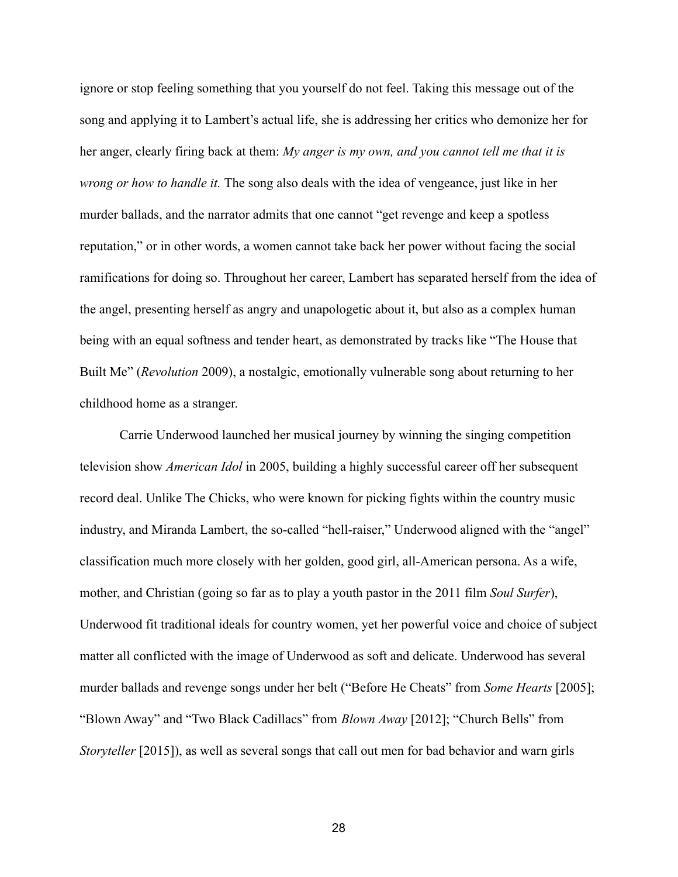ignore or stop feeling something that you yourself do not feel. Taking this message out of the song and applying it to Lambert's actual life, she is addressing her critics who demonize her for her anger, clearly firing back at them: *My anger is my own, and you cannot tell me that it is wrong or how to handle it.* The song also deals with the idea of vengeance, just like in her murder ballads, and the narrator admits that one cannot "get revenge and keep a spotless reputation," or in other words, a women cannot take back her power without facing the social ramifications for doing so. Throughout her career, Lambert has separated herself from the idea of the angel, presenting herself as angry and unapologetic about it, but also as a complex human being with an equal softness and tender heart, as demonstrated by tracks like "The House that Built Me" (*Revolution* 2009), a nostalgic, emotionally vulnerable song about returning to her childhood home as a stranger.

Carrie Underwood launched her musical journey by winning the singing competition television show *American Idol* in 2005, building a highly successful career off her subsequent record deal. Unlike The Chicks, who were known for picking fights within the country music industry, and Miranda Lambert, the so-called "hell-raiser," Underwood aligned with the "angel" classification much more closely with her golden, good girl, all-American persona. As a wife, mother, and Christian (going so far as to play a youth pastor in the 2011 film *Soul Surfer*), Underwood fit traditional ideals for country women, yet her powerful voice and choice of subject matter all conflicted with the image of Underwood as soft and delicate. Underwood has several murder ballads and revenge songs under her belt ("Before He Cheats" from *Some Hearts* [2005]; "Blown Away" and "Two Black Cadillacs" from *Blown Away* [2012]; "Church Bells" from *Storyteller* [2015]), as well as several songs that call out men for bad behavior and warn girls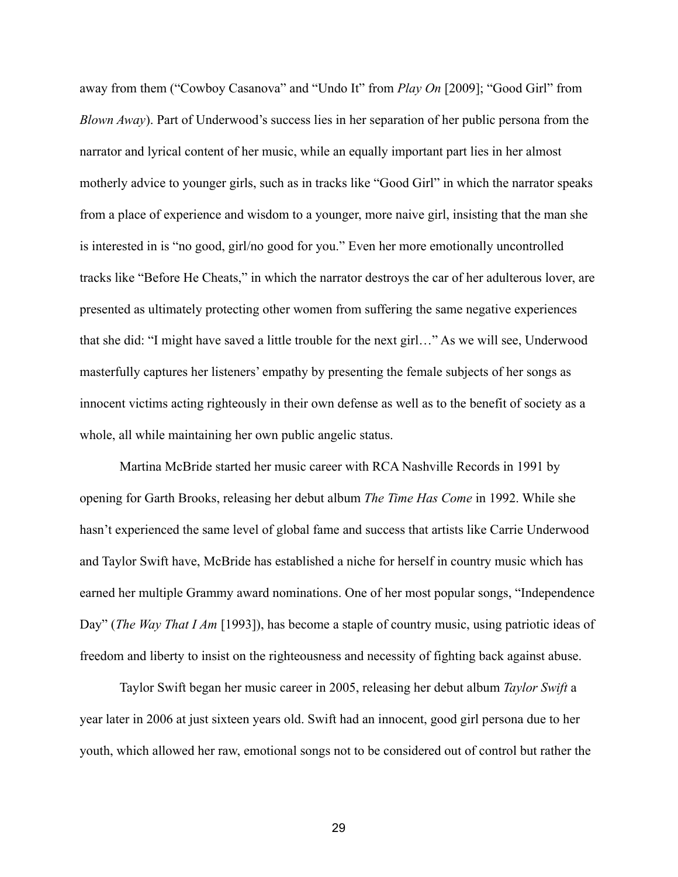away from them ("Cowboy Casanova" and "Undo It" from *Play On* [2009]; "Good Girl" from *Blown Away*). Part of Underwood's success lies in her separation of her public persona from the narrator and lyrical content of her music, while an equally important part lies in her almost motherly advice to younger girls, such as in tracks like "Good Girl" in which the narrator speaks from a place of experience and wisdom to a younger, more naive girl, insisting that the man she is interested in is "no good, girl/no good for you." Even her more emotionally uncontrolled tracks like "Before He Cheats," in which the narrator destroys the car of her adulterous lover, are presented as ultimately protecting other women from suffering the same negative experiences that she did: "I might have saved a little trouble for the next girl…" As we will see, Underwood masterfully captures her listeners' empathy by presenting the female subjects of her songs as innocent victims acting righteously in their own defense as well as to the benefit of society as a whole, all while maintaining her own public angelic status.

Martina McBride started her music career with RCA Nashville Records in 1991 by opening for Garth Brooks, releasing her debut album *The Time Has Come* in 1992. While she hasn't experienced the same level of global fame and success that artists like Carrie Underwood and Taylor Swift have, McBride has established a niche for herself in country music which has earned her multiple Grammy award nominations. One of her most popular songs, "Independence Day" (*The Way That I Am* [1993]), has become a staple of country music, using patriotic ideas of freedom and liberty to insist on the righteousness and necessity of fighting back against abuse.

Taylor Swift began her music career in 2005, releasing her debut album *Taylor Swift* a year later in 2006 at just sixteen years old. Swift had an innocent, good girl persona due to her youth, which allowed her raw, emotional songs not to be considered out of control but rather the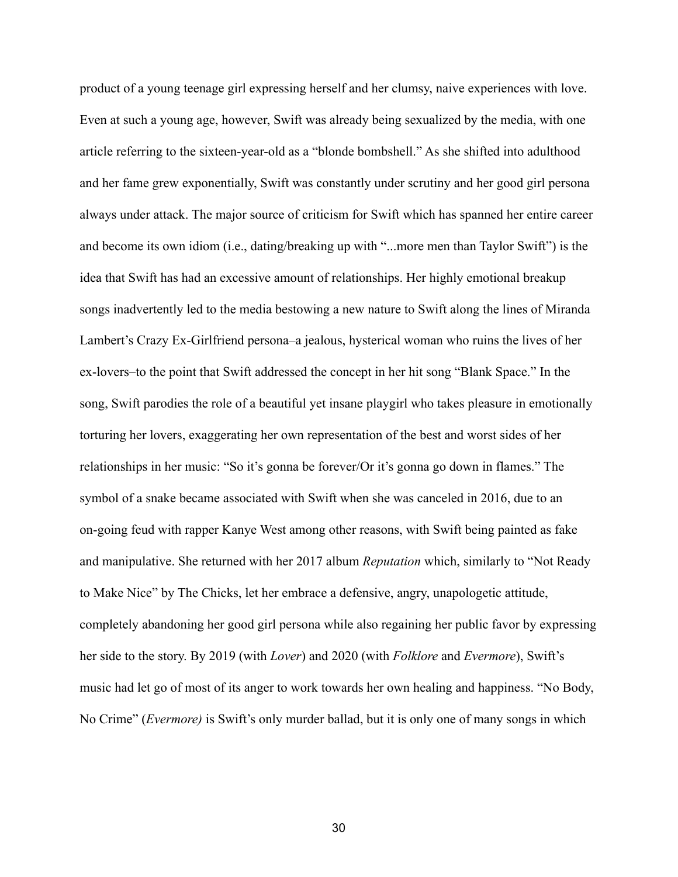product of a young teenage girl expressing herself and her clumsy, naive experiences with love. Even at such a young age, however, Swift was already being sexualized by the media, with one article referring to the sixteen-year-old as a "blonde bombshell." As she shifted into adulthood and her fame grew exponentially, Swift was constantly under scrutiny and her good girl persona always under attack. The major source of criticism for Swift which has spanned her entire career and become its own idiom (i.e., dating/breaking up with "...more men than Taylor Swift") is the idea that Swift has had an excessive amount of relationships. Her highly emotional breakup songs inadvertently led to the media bestowing a new nature to Swift along the lines of Miranda Lambert's Crazy Ex-Girlfriend persona–a jealous, hysterical woman who ruins the lives of her ex-lovers–to the point that Swift addressed the concept in her hit song "Blank Space." In the song, Swift parodies the role of a beautiful yet insane playgirl who takes pleasure in emotionally torturing her lovers, exaggerating her own representation of the best and worst sides of her relationships in her music: "So it's gonna be forever/Or it's gonna go down in flames." The symbol of a snake became associated with Swift when she was canceled in 2016, due to an on-going feud with rapper Kanye West among other reasons, with Swift being painted as fake and manipulative. She returned with her 2017 album *Reputation* which, similarly to "Not Ready to Make Nice" by The Chicks, let her embrace a defensive, angry, unapologetic attitude, completely abandoning her good girl persona while also regaining her public favor by expressing her side to the story. By 2019 (with *Lover*) and 2020 (with *Folklore* and *Evermore*), Swift's music had let go of most of its anger to work towards her own healing and happiness. "No Body, No Crime" (*Evermore)* is Swift's only murder ballad, but it is only one of many songs in which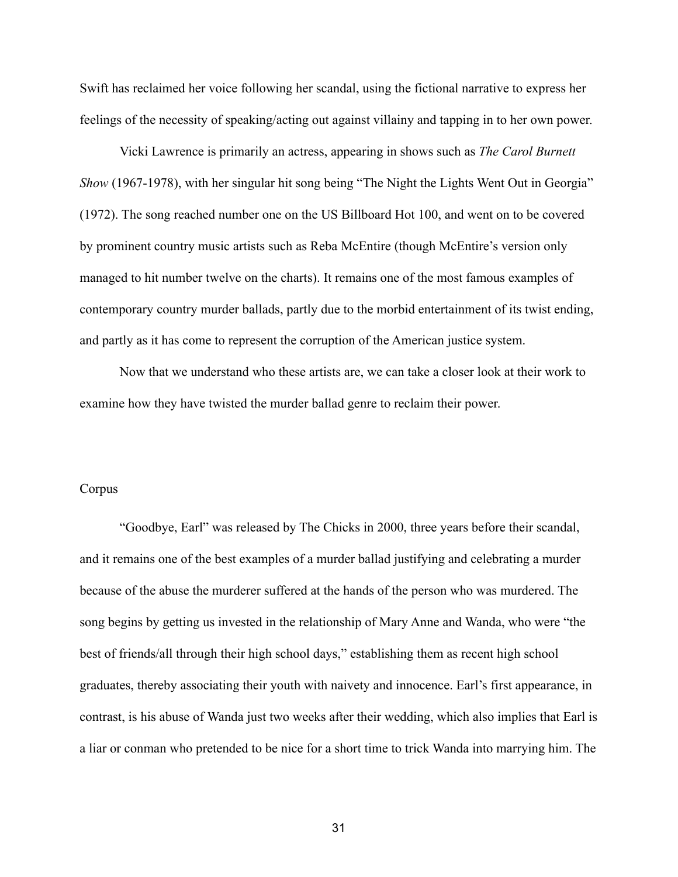Swift has reclaimed her voice following her scandal, using the fictional narrative to express her feelings of the necessity of speaking/acting out against villainy and tapping in to her own power.

Vicki Lawrence is primarily an actress, appearing in shows such as *The Carol Burnett Show* (1967-1978), with her singular hit song being "The Night the Lights Went Out in Georgia" (1972). The song reached number one on the US Billboard Hot 100, and went on to be covered by prominent country music artists such as Reba McEntire (though McEntire's version only managed to hit number twelve on the charts). It remains one of the most famous examples of contemporary country murder ballads, partly due to the morbid entertainment of its twist ending, and partly as it has come to represent the corruption of the American justice system.

Now that we understand who these artists are, we can take a closer look at their work to examine how they have twisted the murder ballad genre to reclaim their power.

### Corpus

"Goodbye, Earl" was released by The Chicks in 2000, three years before their scandal, and it remains one of the best examples of a murder ballad justifying and celebrating a murder because of the abuse the murderer suffered at the hands of the person who was murdered. The song begins by getting us invested in the relationship of Mary Anne and Wanda, who were "the best of friends/all through their high school days," establishing them as recent high school graduates, thereby associating their youth with naivety and innocence. Earl's first appearance, in contrast, is his abuse of Wanda just two weeks after their wedding, which also implies that Earl is a liar or conman who pretended to be nice for a short time to trick Wanda into marrying him. The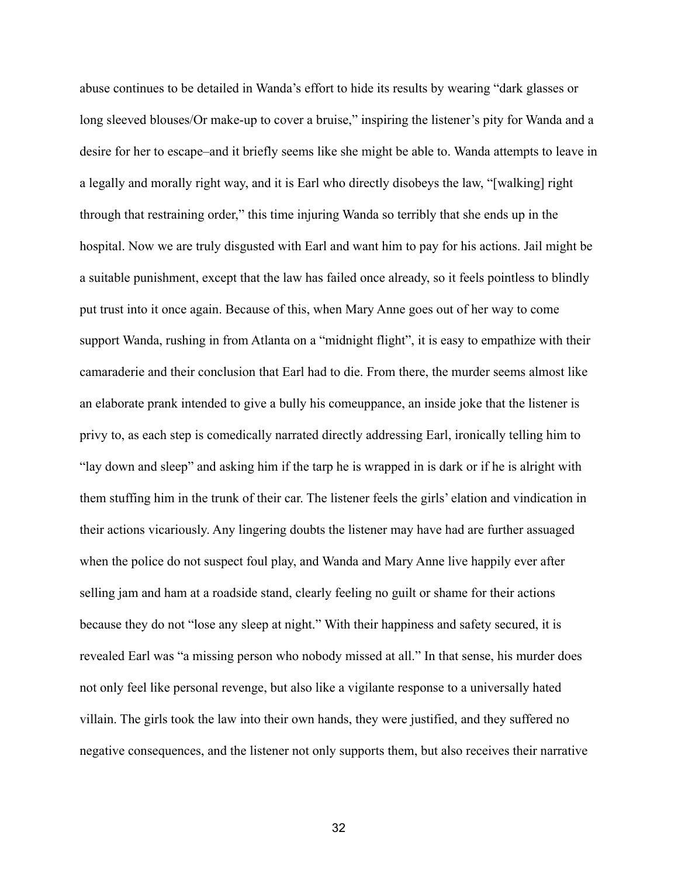abuse continues to be detailed in Wanda's effort to hide its results by wearing "dark glasses or long sleeved blouses/Or make-up to cover a bruise," inspiring the listener's pity for Wanda and a desire for her to escape–and it briefly seems like she might be able to. Wanda attempts to leave in a legally and morally right way, and it is Earl who directly disobeys the law, "[walking] right through that restraining order," this time injuring Wanda so terribly that she ends up in the hospital. Now we are truly disgusted with Earl and want him to pay for his actions. Jail might be a suitable punishment, except that the law has failed once already, so it feels pointless to blindly put trust into it once again. Because of this, when Mary Anne goes out of her way to come support Wanda, rushing in from Atlanta on a "midnight flight", it is easy to empathize with their camaraderie and their conclusion that Earl had to die. From there, the murder seems almost like an elaborate prank intended to give a bully his comeuppance, an inside joke that the listener is privy to, as each step is comedically narrated directly addressing Earl, ironically telling him to "lay down and sleep" and asking him if the tarp he is wrapped in is dark or if he is alright with them stuffing him in the trunk of their car. The listener feels the girls' elation and vindication in their actions vicariously. Any lingering doubts the listener may have had are further assuaged when the police do not suspect foul play, and Wanda and Mary Anne live happily ever after selling jam and ham at a roadside stand, clearly feeling no guilt or shame for their actions because they do not "lose any sleep at night." With their happiness and safety secured, it is revealed Earl was "a missing person who nobody missed at all." In that sense, his murder does not only feel like personal revenge, but also like a vigilante response to a universally hated villain. The girls took the law into their own hands, they were justified, and they suffered no negative consequences, and the listener not only supports them, but also receives their narrative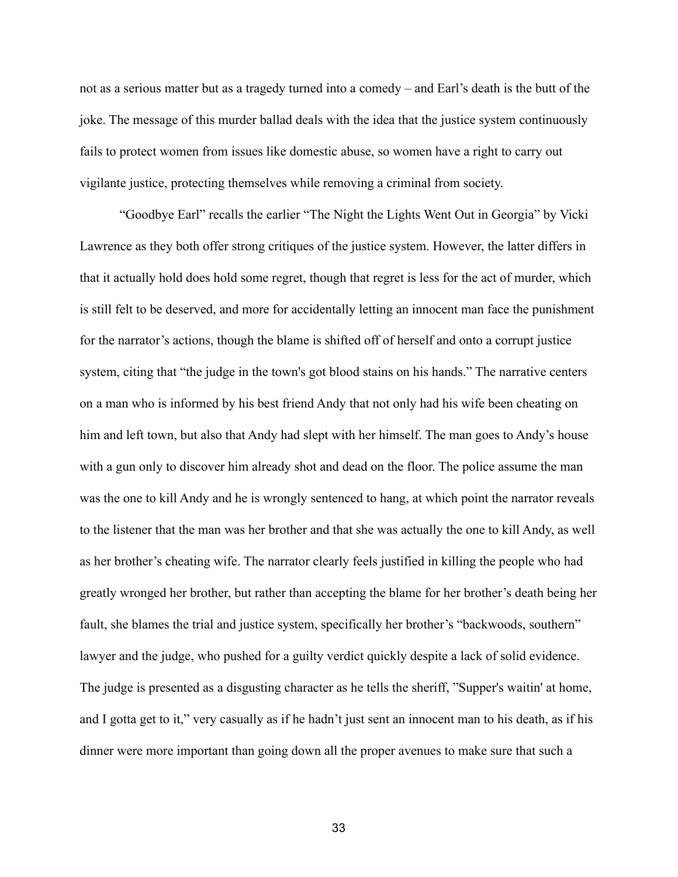not as a serious matter but as a tragedy turned into a comedy – and Earl's death is the butt of the joke. The message of this murder ballad deals with the idea that the justice system continuously fails to protect women from issues like domestic abuse, so women have a right to carry out vigilante justice, protecting themselves while removing a criminal from society.

"Goodbye Earl" recalls the earlier "The Night the Lights Went Out in Georgia" by Vicki Lawrence as they both offer strong critiques of the justice system. However, the latter differs in that it actually hold does hold some regret, though that regret is less for the act of murder, which is still felt to be deserved, and more for accidentally letting an innocent man face the punishment for the narrator's actions, though the blame is shifted off of herself and onto a corrupt justice system, citing that "the judge in the town's got blood stains on his hands." The narrative centers on a man who is informed by his best friend Andy that not only had his wife been cheating on him and left town, but also that Andy had slept with her himself. The man goes to Andy's house with a gun only to discover him already shot and dead on the floor. The police assume the man was the one to kill Andy and he is wrongly sentenced to hang, at which point the narrator reveals to the listener that the man was her brother and that she was actually the one to kill Andy, as well as her brother's cheating wife. The narrator clearly feels justified in killing the people who had greatly wronged her brother, but rather than accepting the blame for her brother's death being her fault, she blames the trial and justice system, specifically her brother's "backwoods, southern" lawyer and the judge, who pushed for a guilty verdict quickly despite a lack of solid evidence. The judge is presented as a disgusting character as he tells the sheriff, "Supper's waitin' at home, and I gotta get to it," very casually as if he hadn't just sent an innocent man to his death, as if his dinner were more important than going down all the proper avenues to make sure that such a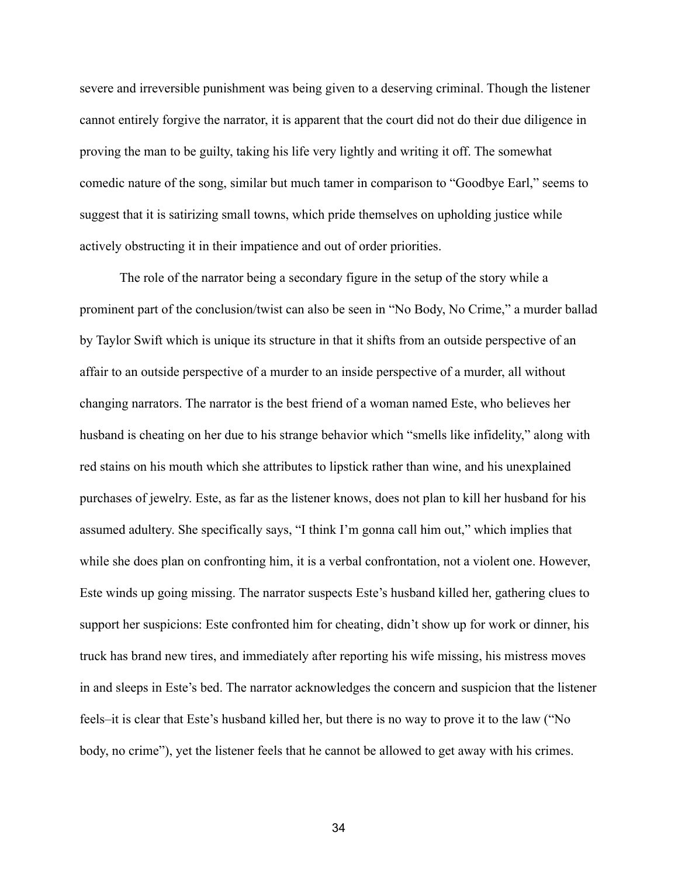severe and irreversible punishment was being given to a deserving criminal. Though the listener cannot entirely forgive the narrator, it is apparent that the court did not do their due diligence in proving the man to be guilty, taking his life very lightly and writing it off. The somewhat comedic nature of the song, similar but much tamer in comparison to "Goodbye Earl," seems to suggest that it is satirizing small towns, which pride themselves on upholding justice while actively obstructing it in their impatience and out of order priorities.

The role of the narrator being a secondary figure in the setup of the story while a prominent part of the conclusion/twist can also be seen in "No Body, No Crime," a murder ballad by Taylor Swift which is unique its structure in that it shifts from an outside perspective of an affair to an outside perspective of a murder to an inside perspective of a murder, all without changing narrators. The narrator is the best friend of a woman named Este, who believes her husband is cheating on her due to his strange behavior which "smells like infidelity," along with red stains on his mouth which she attributes to lipstick rather than wine, and his unexplained purchases of jewelry. Este, as far as the listener knows, does not plan to kill her husband for his assumed adultery. She specifically says, "I think I'm gonna call him out," which implies that while she does plan on confronting him, it is a verbal confrontation, not a violent one. However, Este winds up going missing. The narrator suspects Este's husband killed her, gathering clues to support her suspicions: Este confronted him for cheating, didn't show up for work or dinner, his truck has brand new tires, and immediately after reporting his wife missing, his mistress moves in and sleeps in Este's bed. The narrator acknowledges the concern and suspicion that the listener feels–it is clear that Este's husband killed her, but there is no way to prove it to the law ("No body, no crime"), yet the listener feels that he cannot be allowed to get away with his crimes.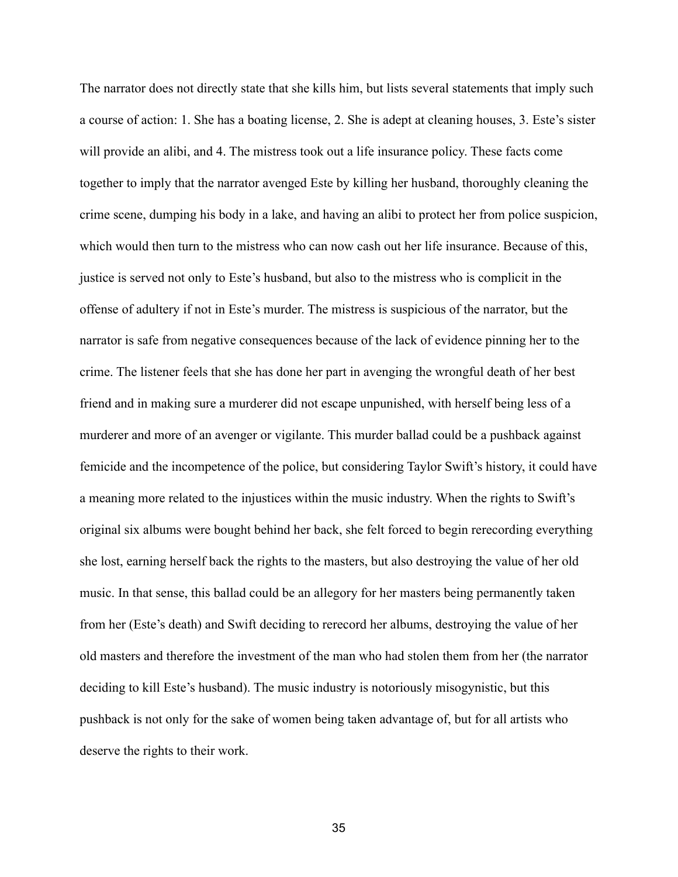The narrator does not directly state that she kills him, but lists several statements that imply such a course of action: 1. She has a boating license, 2. She is adept at cleaning houses, 3. Este's sister will provide an alibi, and 4. The mistress took out a life insurance policy. These facts come together to imply that the narrator avenged Este by killing her husband, thoroughly cleaning the crime scene, dumping his body in a lake, and having an alibi to protect her from police suspicion, which would then turn to the mistress who can now cash out her life insurance. Because of this, justice is served not only to Este's husband, but also to the mistress who is complicit in the offense of adultery if not in Este's murder. The mistress is suspicious of the narrator, but the narrator is safe from negative consequences because of the lack of evidence pinning her to the crime. The listener feels that she has done her part in avenging the wrongful death of her best friend and in making sure a murderer did not escape unpunished, with herself being less of a murderer and more of an avenger or vigilante. This murder ballad could be a pushback against femicide and the incompetence of the police, but considering Taylor Swift's history, it could have a meaning more related to the injustices within the music industry. When the rights to Swift's original six albums were bought behind her back, she felt forced to begin rerecording everything she lost, earning herself back the rights to the masters, but also destroying the value of her old music. In that sense, this ballad could be an allegory for her masters being permanently taken from her (Este's death) and Swift deciding to rerecord her albums, destroying the value of her old masters and therefore the investment of the man who had stolen them from her (the narrator deciding to kill Este's husband). The music industry is notoriously misogynistic, but this pushback is not only for the sake of women being taken advantage of, but for all artists who deserve the rights to their work.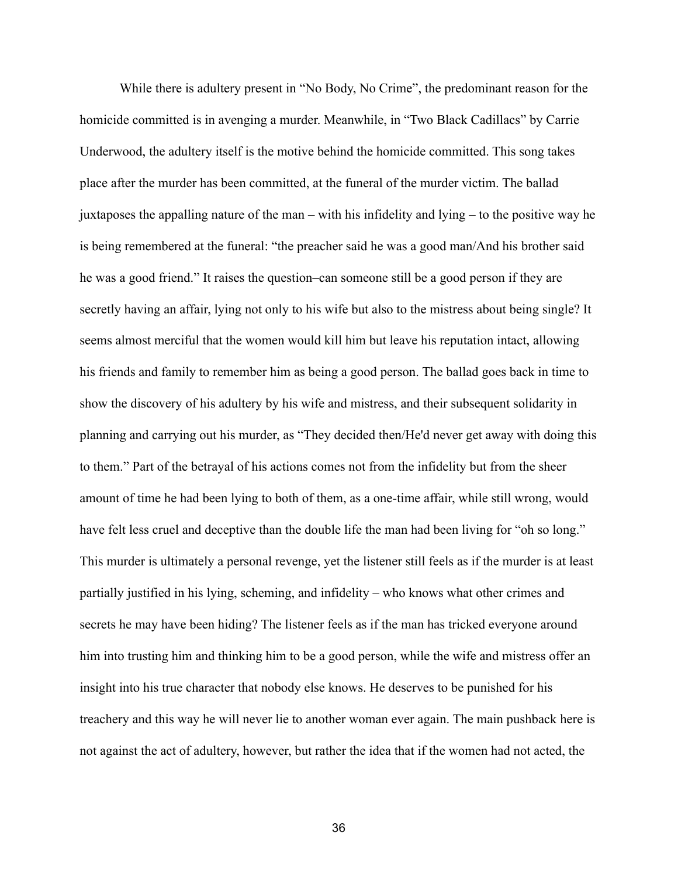While there is adultery present in "No Body, No Crime", the predominant reason for the homicide committed is in avenging a murder. Meanwhile, in "Two Black Cadillacs" by Carrie Underwood, the adultery itself is the motive behind the homicide committed. This song takes place after the murder has been committed, at the funeral of the murder victim. The ballad juxtaposes the appalling nature of the man – with his infidelity and lying – to the positive way he is being remembered at the funeral: "the preacher said he was a good man/And his brother said he was a good friend." It raises the question–can someone still be a good person if they are secretly having an affair, lying not only to his wife but also to the mistress about being single? It seems almost merciful that the women would kill him but leave his reputation intact, allowing his friends and family to remember him as being a good person. The ballad goes back in time to show the discovery of his adultery by his wife and mistress, and their subsequent solidarity in planning and carrying out his murder, as "They decided then/He'd never get away with doing this to them." Part of the betrayal of his actions comes not from the infidelity but from the sheer amount of time he had been lying to both of them, as a one-time affair, while still wrong, would have felt less cruel and deceptive than the double life the man had been living for "oh so long." This murder is ultimately a personal revenge, yet the listener still feels as if the murder is at least partially justified in his lying, scheming, and infidelity – who knows what other crimes and secrets he may have been hiding? The listener feels as if the man has tricked everyone around him into trusting him and thinking him to be a good person, while the wife and mistress offer an insight into his true character that nobody else knows. He deserves to be punished for his treachery and this way he will never lie to another woman ever again. The main pushback here is not against the act of adultery, however, but rather the idea that if the women had not acted, the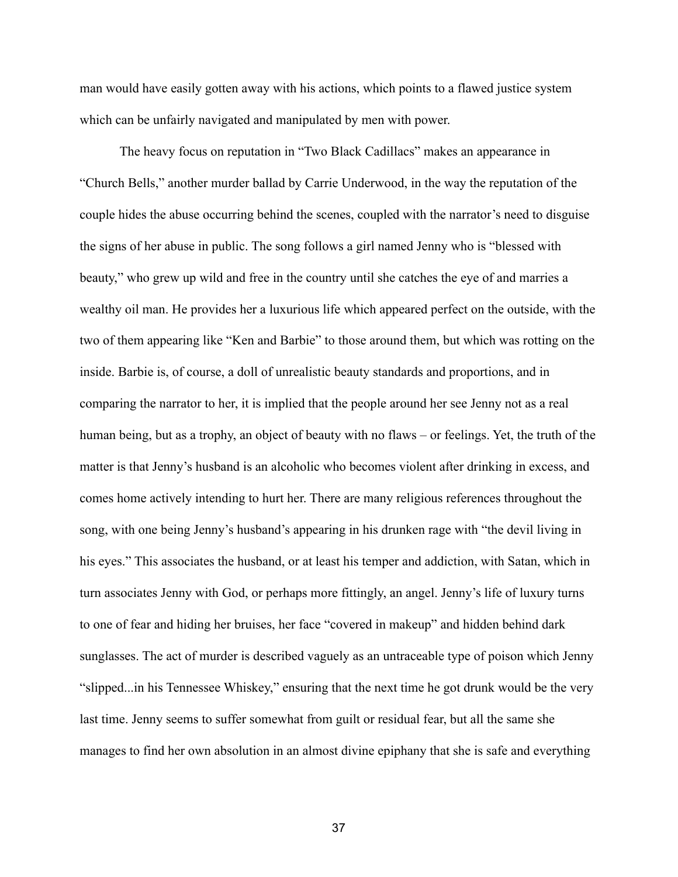man would have easily gotten away with his actions, which points to a flawed justice system which can be unfairly navigated and manipulated by men with power.

The heavy focus on reputation in "Two Black Cadillacs" makes an appearance in "Church Bells," another murder ballad by Carrie Underwood, in the way the reputation of the couple hides the abuse occurring behind the scenes, coupled with the narrator's need to disguise the signs of her abuse in public. The song follows a girl named Jenny who is "blessed with beauty," who grew up wild and free in the country until she catches the eye of and marries a wealthy oil man. He provides her a luxurious life which appeared perfect on the outside, with the two of them appearing like "Ken and Barbie" to those around them, but which was rotting on the inside. Barbie is, of course, a doll of unrealistic beauty standards and proportions, and in comparing the narrator to her, it is implied that the people around her see Jenny not as a real human being, but as a trophy, an object of beauty with no flaws – or feelings. Yet, the truth of the matter is that Jenny's husband is an alcoholic who becomes violent after drinking in excess, and comes home actively intending to hurt her. There are many religious references throughout the song, with one being Jenny's husband's appearing in his drunken rage with "the devil living in his eyes." This associates the husband, or at least his temper and addiction, with Satan, which in turn associates Jenny with God, or perhaps more fittingly, an angel. Jenny's life of luxury turns to one of fear and hiding her bruises, her face "covered in makeup" and hidden behind dark sunglasses. The act of murder is described vaguely as an untraceable type of poison which Jenny "slipped...in his Tennessee Whiskey," ensuring that the next time he got drunk would be the very last time. Jenny seems to suffer somewhat from guilt or residual fear, but all the same she manages to find her own absolution in an almost divine epiphany that she is safe and everything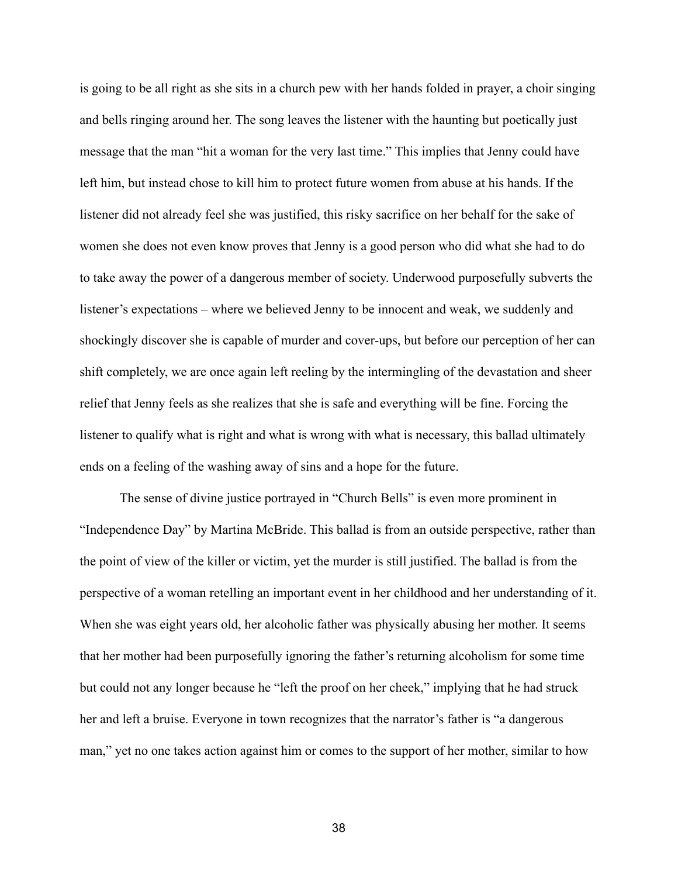is going to be all right as she sits in a church pew with her hands folded in prayer, a choir singing and bells ringing around her. The song leaves the listener with the haunting but poetically just message that the man "hit a woman for the very last time." This implies that Jenny could have left him, but instead chose to kill him to protect future women from abuse at his hands. If the listener did not already feel she was justified, this risky sacrifice on her behalf for the sake of women she does not even know proves that Jenny is a good person who did what she had to do to take away the power of a dangerous member of society. Underwood purposefully subverts the listener's expectations – where we believed Jenny to be innocent and weak, we suddenly and shockingly discover she is capable of murder and cover-ups, but before our perception of her can shift completely, we are once again left reeling by the intermingling of the devastation and sheer relief that Jenny feels as she realizes that she is safe and everything will be fine. Forcing the listener to qualify what is right and what is wrong with what is necessary, this ballad ultimately ends on a feeling of the washing away of sins and a hope for the future.

The sense of divine justice portrayed in "Church Bells" is even more prominent in "Independence Day" by Martina McBride. This ballad is from an outside perspective, rather than the point of view of the killer or victim, yet the murder is still justified. The ballad is from the perspective of a woman retelling an important event in her childhood and her understanding of it. When she was eight years old, her alcoholic father was physically abusing her mother. It seems that her mother had been purposefully ignoring the father's returning alcoholism for some time but could not any longer because he "left the proof on her cheek," implying that he had struck her and left a bruise. Everyone in town recognizes that the narrator's father is "a dangerous man," yet no one takes action against him or comes to the support of her mother, similar to how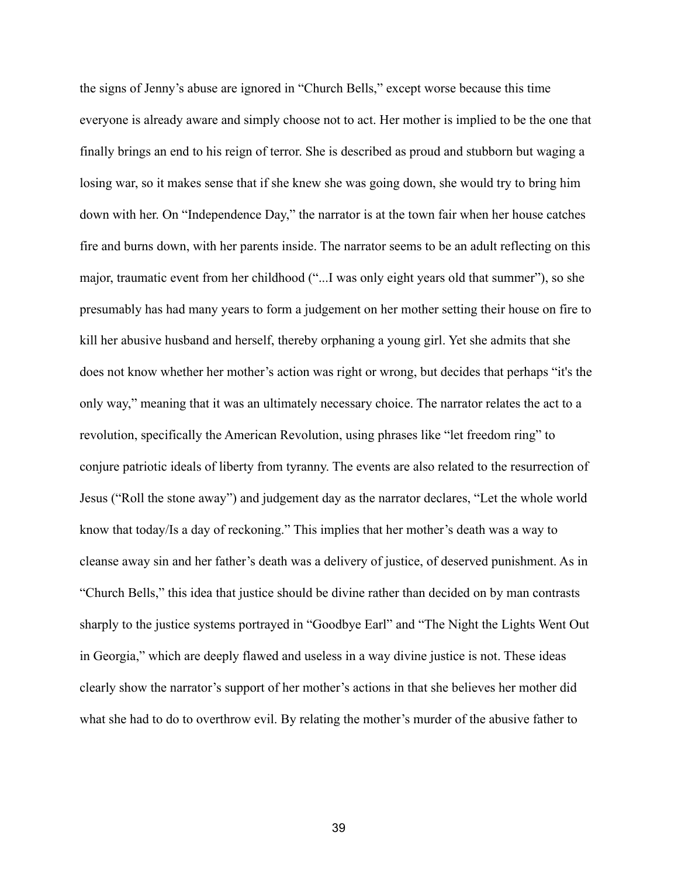the signs of Jenny's abuse are ignored in "Church Bells," except worse because this time everyone is already aware and simply choose not to act. Her mother is implied to be the one that finally brings an end to his reign of terror. She is described as proud and stubborn but waging a losing war, so it makes sense that if she knew she was going down, she would try to bring him down with her. On "Independence Day," the narrator is at the town fair when her house catches fire and burns down, with her parents inside. The narrator seems to be an adult reflecting on this major, traumatic event from her childhood ("...I was only eight years old that summer"), so she presumably has had many years to form a judgement on her mother setting their house on fire to kill her abusive husband and herself, thereby orphaning a young girl. Yet she admits that she does not know whether her mother's action was right or wrong, but decides that perhaps "it's the only way," meaning that it was an ultimately necessary choice. The narrator relates the act to a revolution, specifically the American Revolution, using phrases like "let freedom ring" to conjure patriotic ideals of liberty from tyranny. The events are also related to the resurrection of Jesus ("Roll the stone away") and judgement day as the narrator declares, "Let the whole world know that today/Is a day of reckoning." This implies that her mother's death was a way to cleanse away sin and her father's death was a delivery of justice, of deserved punishment. As in "Church Bells," this idea that justice should be divine rather than decided on by man contrasts sharply to the justice systems portrayed in "Goodbye Earl" and "The Night the Lights Went Out in Georgia," which are deeply flawed and useless in a way divine justice is not. These ideas clearly show the narrator's support of her mother's actions in that she believes her mother did what she had to do to overthrow evil. By relating the mother's murder of the abusive father to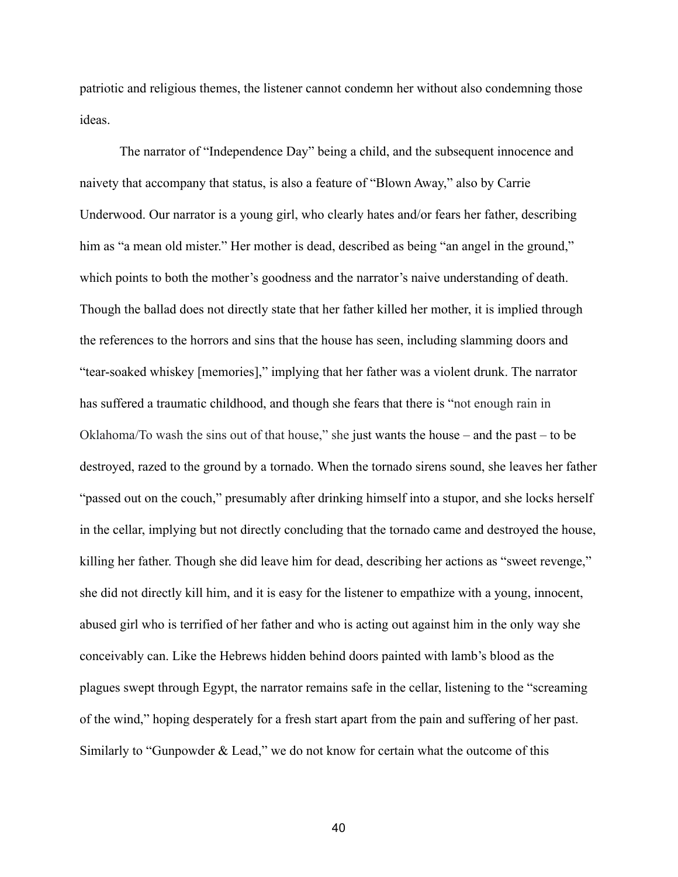patriotic and religious themes, the listener cannot condemn her without also condemning those ideas.

The narrator of "Independence Day" being a child, and the subsequent innocence and naivety that accompany that status, is also a feature of "Blown Away," also by Carrie Underwood. Our narrator is a young girl, who clearly hates and/or fears her father, describing him as "a mean old mister." Her mother is dead, described as being "an angel in the ground," which points to both the mother's goodness and the narrator's naive understanding of death. Though the ballad does not directly state that her father killed her mother, it is implied through the references to the horrors and sins that the house has seen, including slamming doors and "tear-soaked whiskey [memories]," implying that her father was a violent drunk. The narrator has suffered a traumatic childhood, and though she fears that there is "not enough rain in Oklahoma/To wash the sins out of that house," she just wants the house – and the past – to be destroyed, razed to the ground by a tornado. When the tornado sirens sound, she leaves her father "passed out on the couch," presumably after drinking himself into a stupor, and she locks herself in the cellar, implying but not directly concluding that the tornado came and destroyed the house, killing her father. Though she did leave him for dead, describing her actions as "sweet revenge," she did not directly kill him, and it is easy for the listener to empathize with a young, innocent, abused girl who is terrified of her father and who is acting out against him in the only way she conceivably can. Like the Hebrews hidden behind doors painted with lamb's blood as the plagues swept through Egypt, the narrator remains safe in the cellar, listening to the "screaming of the wind," hoping desperately for a fresh start apart from the pain and suffering of her past. Similarly to "Gunpowder & Lead," we do not know for certain what the outcome of this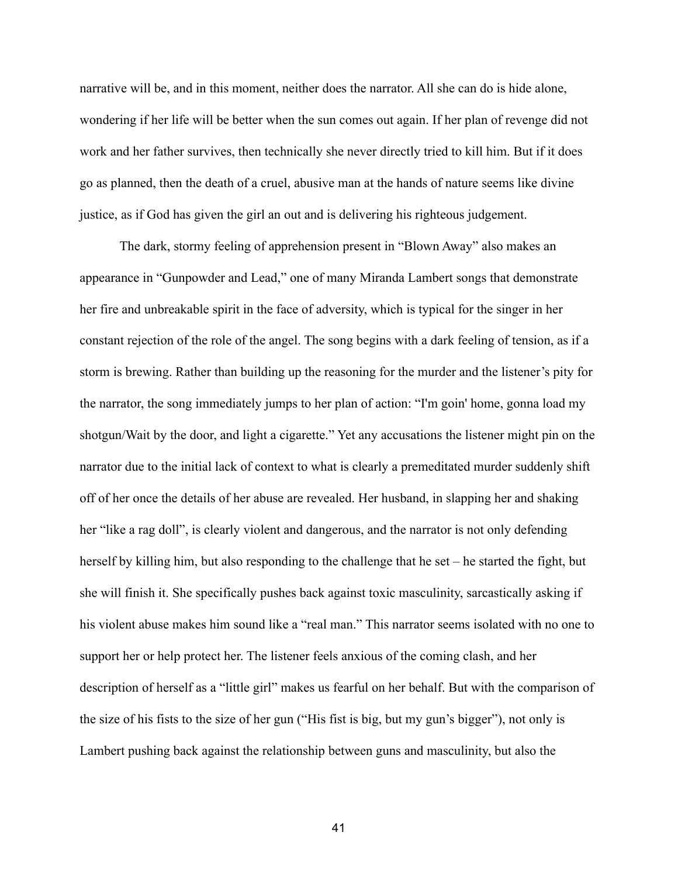narrative will be, and in this moment, neither does the narrator. All she can do is hide alone, wondering if her life will be better when the sun comes out again. If her plan of revenge did not work and her father survives, then technically she never directly tried to kill him. But if it does go as planned, then the death of a cruel, abusive man at the hands of nature seems like divine justice, as if God has given the girl an out and is delivering his righteous judgement.

The dark, stormy feeling of apprehension present in "Blown Away" also makes an appearance in "Gunpowder and Lead," one of many Miranda Lambert songs that demonstrate her fire and unbreakable spirit in the face of adversity, which is typical for the singer in her constant rejection of the role of the angel. The song begins with a dark feeling of tension, as if a storm is brewing. Rather than building up the reasoning for the murder and the listener's pity for the narrator, the song immediately jumps to her plan of action: "I'm goin' home, gonna load my shotgun/Wait by the door, and light a cigarette." Yet any accusations the listener might pin on the narrator due to the initial lack of context to what is clearly a premeditated murder suddenly shift off of her once the details of her abuse are revealed. Her husband, in slapping her and shaking her "like a rag doll", is clearly violent and dangerous, and the narrator is not only defending herself by killing him, but also responding to the challenge that he set – he started the fight, but she will finish it. She specifically pushes back against toxic masculinity, sarcastically asking if his violent abuse makes him sound like a "real man." This narrator seems isolated with no one to support her or help protect her. The listener feels anxious of the coming clash, and her description of herself as a "little girl" makes us fearful on her behalf. But with the comparison of the size of his fists to the size of her gun ("His fist is big, but my gun's bigger"), not only is Lambert pushing back against the relationship between guns and masculinity, but also the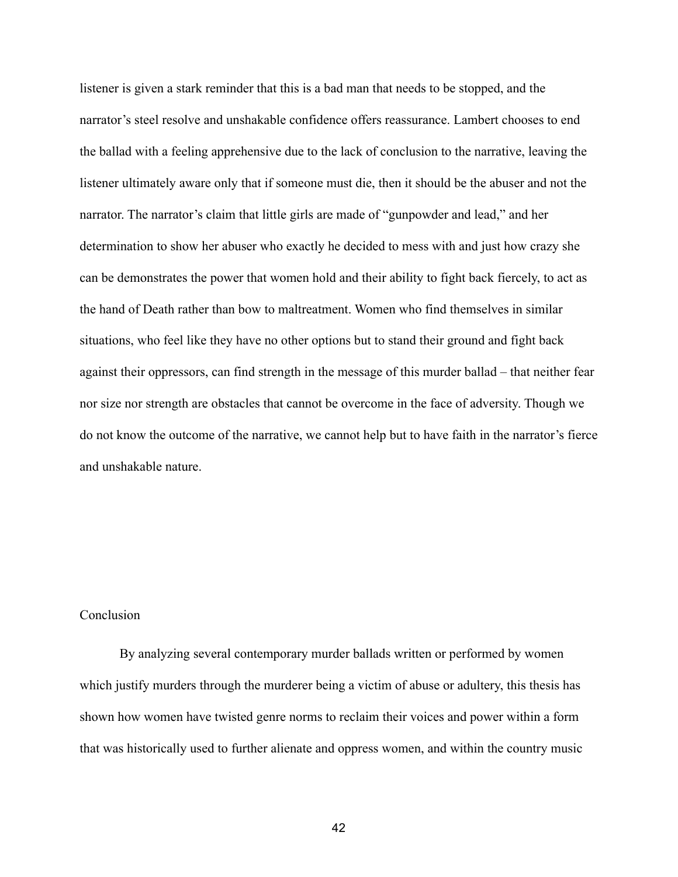listener is given a stark reminder that this is a bad man that needs to be stopped, and the narrator's steel resolve and unshakable confidence offers reassurance. Lambert chooses to end the ballad with a feeling apprehensive due to the lack of conclusion to the narrative, leaving the listener ultimately aware only that if someone must die, then it should be the abuser and not the narrator. The narrator's claim that little girls are made of "gunpowder and lead," and her determination to show her abuser who exactly he decided to mess with and just how crazy she can be demonstrates the power that women hold and their ability to fight back fiercely, to act as the hand of Death rather than bow to maltreatment. Women who find themselves in similar situations, who feel like they have no other options but to stand their ground and fight back against their oppressors, can find strength in the message of this murder ballad – that neither fear nor size nor strength are obstacles that cannot be overcome in the face of adversity. Though we do not know the outcome of the narrative, we cannot help but to have faith in the narrator's fierce and unshakable nature.

# Conclusion

By analyzing several contemporary murder ballads written or performed by women which justify murders through the murderer being a victim of abuse or adultery, this thesis has shown how women have twisted genre norms to reclaim their voices and power within a form that was historically used to further alienate and oppress women, and within the country music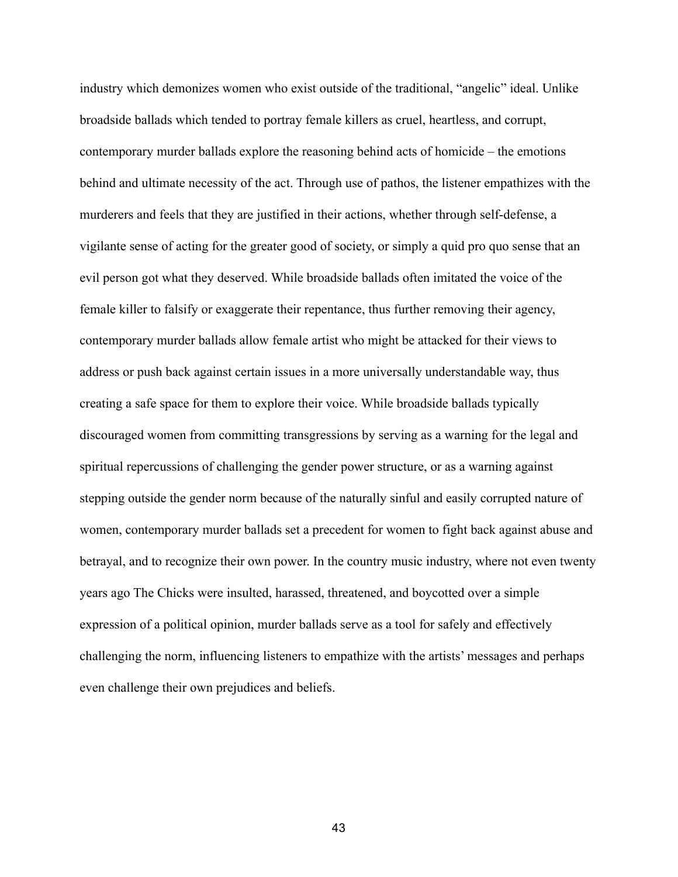industry which demonizes women who exist outside of the traditional, "angelic" ideal. Unlike broadside ballads which tended to portray female killers as cruel, heartless, and corrupt, contemporary murder ballads explore the reasoning behind acts of homicide – the emotions behind and ultimate necessity of the act. Through use of pathos, the listener empathizes with the murderers and feels that they are justified in their actions, whether through self-defense, a vigilante sense of acting for the greater good of society, or simply a quid pro quo sense that an evil person got what they deserved. While broadside ballads often imitated the voice of the female killer to falsify or exaggerate their repentance, thus further removing their agency, contemporary murder ballads allow female artist who might be attacked for their views to address or push back against certain issues in a more universally understandable way, thus creating a safe space for them to explore their voice. While broadside ballads typically discouraged women from committing transgressions by serving as a warning for the legal and spiritual repercussions of challenging the gender power structure, or as a warning against stepping outside the gender norm because of the naturally sinful and easily corrupted nature of women, contemporary murder ballads set a precedent for women to fight back against abuse and betrayal, and to recognize their own power. In the country music industry, where not even twenty years ago The Chicks were insulted, harassed, threatened, and boycotted over a simple expression of a political opinion, murder ballads serve as a tool for safely and effectively challenging the norm, influencing listeners to empathize with the artists' messages and perhaps even challenge their own prejudices and beliefs.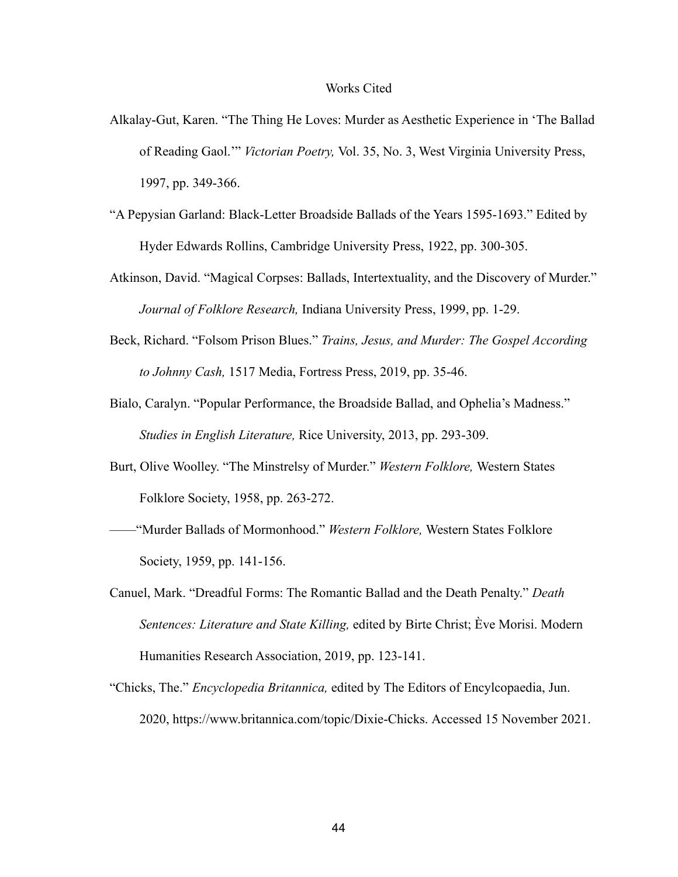#### Works Cited

- Alkalay-Gut, Karen. "The Thing He Loves: Murder as Aesthetic Experience in 'The Ballad of Reading Gaol.'" *Victorian Poetry,* Vol. 35, No. 3, West Virginia University Press, 1997, pp. 349-366.
- "A Pepysian Garland: Black-Letter Broadside Ballads of the Years 1595-1693." Edited by Hyder Edwards Rollins, Cambridge University Press, 1922, pp. 300-305.
- Atkinson, David. "Magical Corpses: Ballads, Intertextuality, and the Discovery of Murder." *Journal of Folklore Research,* Indiana University Press, 1999, pp. 1-29.
- Beck, Richard. "Folsom Prison Blues." *Trains, Jesus, and Murder: The Gospel According to Johnny Cash,* 1517 Media, Fortress Press, 2019, pp. 35-46.
- Bialo, Caralyn. "Popular Performance, the Broadside Ballad, and Ophelia's Madness." *Studies in English Literature,* Rice University, 2013, pp. 293-309.
- Burt, Olive Woolley. "The Minstrelsy of Murder." *Western Folklore,* Western States Folklore Society, 1958, pp. 263-272.
- ––––"Murder Ballads of Mormonhood." *Western Folklore,* Western States Folklore Society, 1959, pp. 141-156.
- Canuel, Mark. "Dreadful Forms: The Romantic Ballad and the Death Penalty." *Death Sentences: Literature and State Killing,* edited by Birte Christ; Ève Morisi. Modern Humanities Research Association, 2019, pp. 123-141.
- "Chicks, The." *Encyclopedia Britannica,* edited by The Editors of Encylcopaedia, Jun. 2020, https://www.britannica.com/topic/Dixie-Chicks. Accessed 15 November 2021.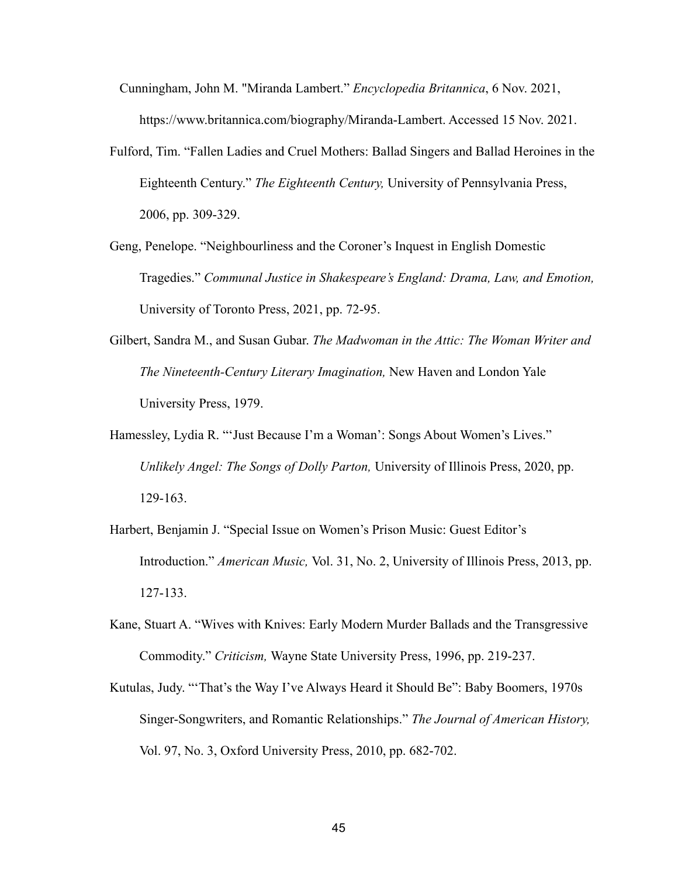- Cunningham, John M. "Miranda Lambert." *Encyclopedia Britannica*, 6 Nov. 2021, https://www.britannica.com/biography/Miranda-Lambert. Accessed 15 Nov. 2021.
- Fulford, Tim. "Fallen Ladies and Cruel Mothers: Ballad Singers and Ballad Heroines in the Eighteenth Century." *The Eighteenth Century,* University of Pennsylvania Press, 2006, pp. 309-329.
- Geng, Penelope. "Neighbourliness and the Coroner's Inquest in English Domestic Tragedies." *Communal Justice in Shakespeare's England: Drama, Law, and Emotion,* University of Toronto Press, 2021, pp. 72-95.
- Gilbert, Sandra M., and Susan Gubar. *The Madwoman in the Attic: The Woman Writer and The Nineteenth-Century Literary Imagination,* New Haven and London Yale University Press, 1979.
- Hamessley, Lydia R. "'Just Because I'm a Woman': Songs About Women's Lives." *Unlikely Angel: The Songs of Dolly Parton,* University of Illinois Press, 2020, pp. 129-163.
- Harbert, Benjamin J. "Special Issue on Women's Prison Music: Guest Editor's Introduction." *American Music,* Vol. 31, No. 2, University of Illinois Press, 2013, pp. 127-133.
- Kane, Stuart A. "Wives with Knives: Early Modern Murder Ballads and the Transgressive Commodity." *Criticism,* Wayne State University Press, 1996, pp. 219-237.
- Kutulas, Judy. "'That's the Way I've Always Heard it Should Be": Baby Boomers, 1970s Singer-Songwriters, and Romantic Relationships." *The Journal of American History,* Vol. 97, No. 3, Oxford University Press, 2010, pp. 682-702.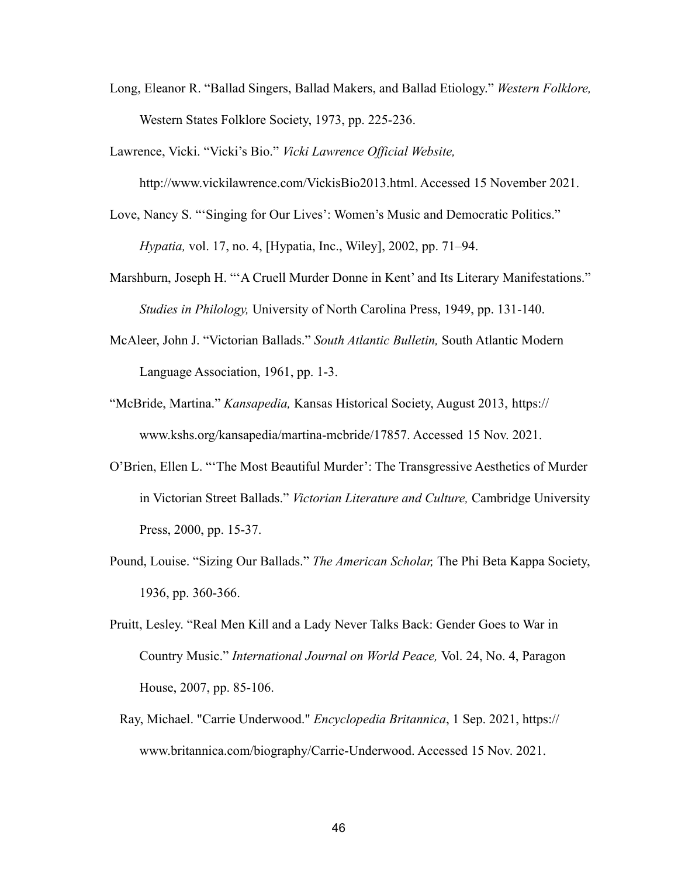Long, Eleanor R. "Ballad Singers, Ballad Makers, and Ballad Etiology." *Western Folklore,* Western States Folklore Society, 1973, pp. 225-236.

Lawrence, Vicki. "Vicki's Bio." *Vicki Lawrence Official Website,*

http://www.vickilawrence.com/VickisBio2013.html. Accessed 15 November 2021.

- Love, Nancy S. "'Singing for Our Lives': Women's Music and Democratic Politics." *Hypatia,* vol. 17, no. 4, [Hypatia, Inc., Wiley], 2002, pp. 71–94.
- Marshburn, Joseph H. "'A Cruell Murder Donne in Kent' and Its Literary Manifestations." *Studies in Philology,* University of North Carolina Press, 1949, pp. 131-140.
- McAleer, John J. "Victorian Ballads." *South Atlantic Bulletin,* South Atlantic Modern Language Association, 1961, pp. 1-3.
- "McBride, Martina." *Kansapedia,* Kansas Historical Society, August 2013, https:// www.kshs.org/kansapedia/martina-mcbride/17857. Accessed 15 Nov. 2021.
- O'Brien, Ellen L. "'The Most Beautiful Murder': The Transgressive Aesthetics of Murder in Victorian Street Ballads." *Victorian Literature and Culture,* Cambridge University Press, 2000, pp. 15-37.
- Pound, Louise. "Sizing Our Ballads." *The American Scholar,* The Phi Beta Kappa Society, 1936, pp. 360-366.
- Pruitt, Lesley. "Real Men Kill and a Lady Never Talks Back: Gender Goes to War in Country Music." *International Journal on World Peace,* Vol. 24, No. 4, Paragon House, 2007, pp. 85-106.
	- Ray, Michael. "Carrie Underwood." *Encyclopedia Britannica*, 1 Sep. 2021, https:// www.britannica.com/biography/Carrie-Underwood. Accessed 15 Nov. 2021.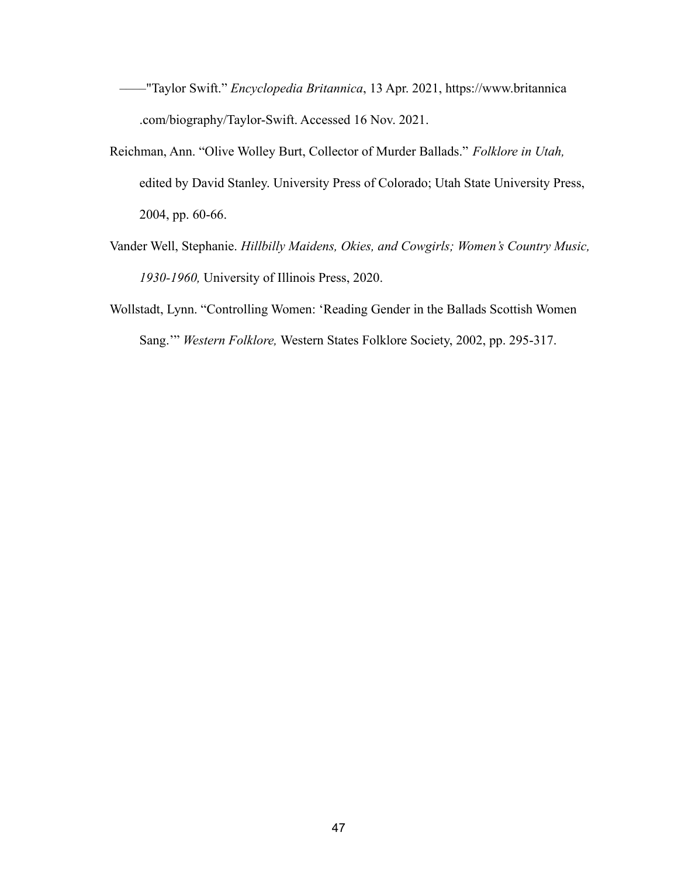- ––––"Taylor Swift." *Encyclopedia Britannica*, 13 Apr. 2021, https://www.britannica .com/biography/Taylor-Swift. Accessed 16 Nov. 2021.
- Reichman, Ann. "Olive Wolley Burt, Collector of Murder Ballads." *Folklore in Utah,* edited by David Stanley. University Press of Colorado; Utah State University Press, 2004, pp. 60-66.
- Vander Well, Stephanie. *Hillbilly Maidens, Okies, and Cowgirls; Women's Country Music, 1930-1960,* University of Illinois Press, 2020.
- Wollstadt, Lynn. "Controlling Women: 'Reading Gender in the Ballads Scottish Women Sang.'" *Western Folklore,* Western States Folklore Society, 2002, pp. 295-317.